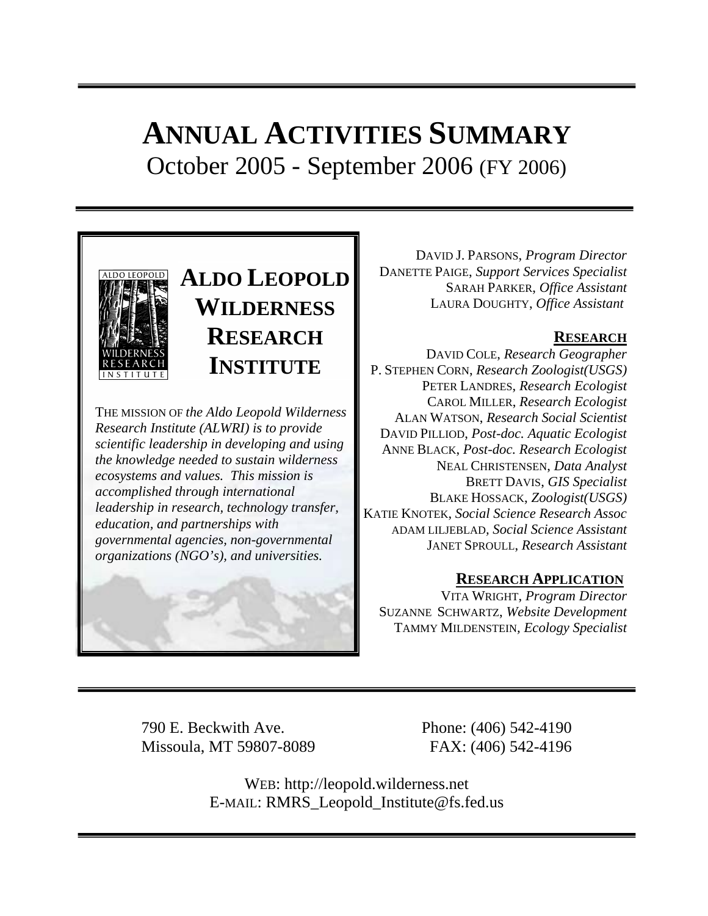# **ANNUAL ACTIVITIES SUMMARY** October 2005 - September 2006 (FY 2006)



# **ALDO LEOPOLD WILDERNESS RESEARCH INSTITUTE**

THE MISSION OF *the Aldo Leopold Wilderness Research Institute (ALWRI) is to provide scientific leadership in developing and using the knowledge needed to sustain wilderness ecosystems and values. This mission is accomplished through international leadership in research, technology transfer, education, and partnerships with governmental agencies, non-governmental organizations (NGO's), and universities.* 



DAVID J. PARSONS, *Program Director* DANETTE PAIGE, *Support Services Specialist* SARAH PARKER, *Office Assistant* LAURA DOUGHTY, *Office Assistant*

# **RESEARCH**

DAVID COLE, *Research Geographer* P. STEPHEN CORN, *Research Zoologist(USGS)* PETER LANDRES, *Research Ecologist* CAROL MILLER, *Research Ecologist* ALAN WATSON, *Research Social Scientist* DAVID PILLIOD, *Post-doc. Aquatic Ecologist* ANNE BLACK, *Post-doc. Research Ecologist* NEAL CHRISTENSEN, *Data Analyst* BRETT DAVIS, *GIS Specialist* BLAKE HOSSACK, *Zoologist(USGS)* KATIE KNOTEK, *Social Science Research Assoc* ADAM LILJEBLAD*, Social Science Assistant* JANET SPROULL, *Research Assistant*

# **RESEARCH APPLICATION**

VITA WRIGHT, *Program Director* SUZANNE SCHWARTZ, *Website Development* TAMMY MILDENSTEIN*, Ecology Specialist*

790 E. Beckwith Ave. Phone: (406) 542-4190 Missoula, MT 59807-8089 FAX: (406) 542-4196

WEB: http://leopold.wilderness.net E-MAIL: RMRS\_Leopold\_Institute@fs.fed.us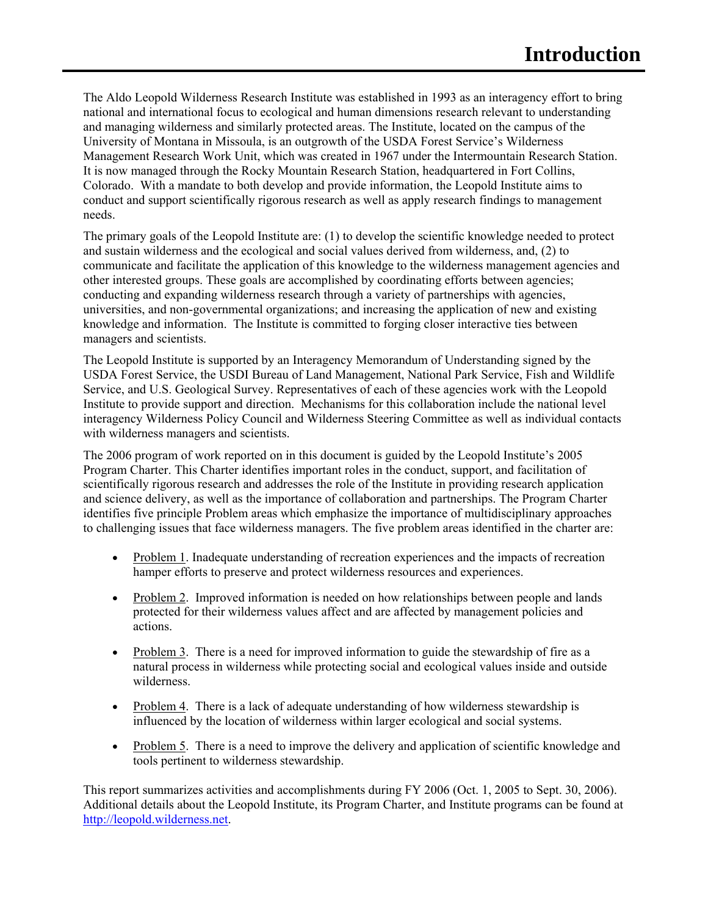The Aldo Leopold Wilderness Research Institute was established in 1993 as an interagency effort to bring national and international focus to ecological and human dimensions research relevant to understanding and managing wilderness and similarly protected areas. The Institute, located on the campus of the University of Montana in Missoula, is an outgrowth of the USDA Forest Service's Wilderness Management Research Work Unit, which was created in 1967 under the Intermountain Research Station. It is now managed through the Rocky Mountain Research Station, headquartered in Fort Collins, Colorado. With a mandate to both develop and provide information, the Leopold Institute aims to conduct and support scientifically rigorous research as well as apply research findings to management needs.

The primary goals of the Leopold Institute are: (1) to develop the scientific knowledge needed to protect and sustain wilderness and the ecological and social values derived from wilderness, and, (2) to communicate and facilitate the application of this knowledge to the wilderness management agencies and other interested groups. These goals are accomplished by coordinating efforts between agencies; conducting and expanding wilderness research through a variety of partnerships with agencies, universities, and non-governmental organizations; and increasing the application of new and existing knowledge and information. The Institute is committed to forging closer interactive ties between managers and scientists.

The Leopold Institute is supported by an Interagency Memorandum of Understanding signed by the USDA Forest Service, the USDI Bureau of Land Management, National Park Service, Fish and Wildlife Service, and U.S. Geological Survey. Representatives of each of these agencies work with the Leopold Institute to provide support and direction. Mechanisms for this collaboration include the national level interagency Wilderness Policy Council and Wilderness Steering Committee as well as individual contacts with wilderness managers and scientists.

The 2006 program of work reported on in this document is guided by the Leopold Institute's 2005 Program Charter. This Charter identifies important roles in the conduct, support, and facilitation of scientifically rigorous research and addresses the role of the Institute in providing research application and science delivery, as well as the importance of collaboration and partnerships. The Program Charter identifies five principle Problem areas which emphasize the importance of multidisciplinary approaches to challenging issues that face wilderness managers. The five problem areas identified in the charter are:

- Problem 1. Inadequate understanding of recreation experiences and the impacts of recreation hamper efforts to preserve and protect wilderness resources and experiences.
- Problem 2. Improved information is needed on how relationships between people and lands protected for their wilderness values affect and are affected by management policies and actions.
- Problem 3. There is a need for improved information to guide the stewardship of fire as a natural process in wilderness while protecting social and ecological values inside and outside wilderness.
- Problem 4. There is a lack of adequate understanding of how wilderness stewardship is influenced by the location of wilderness within larger ecological and social systems.
- Problem 5. There is a need to improve the delivery and application of scientific knowledge and tools pertinent to wilderness stewardship.

This report summarizes activities and accomplishments during FY 2006 (Oct. 1, 2005 to Sept. 30, 2006). Additional details about the Leopold Institute, its Program Charter, and Institute programs can be found at http://leopold.wilderness.net.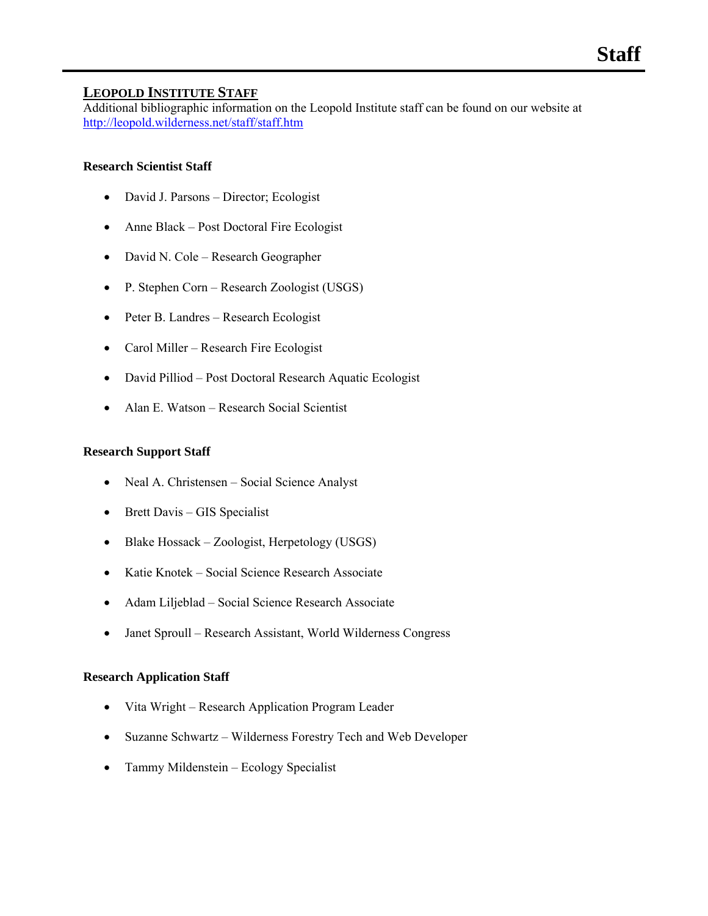# **LEOPOLD INSTITUTE STAFF**

Additional bibliographic information on the Leopold Institute staff can be found on our website at http://leopold.wilderness.net/staff/staff.htm

# **Research Scientist Staff**

- David J. Parsons Director; Ecologist
- Anne Black Post Doctoral Fire Ecologist
- David N. Cole Research Geographer
- P. Stephen Corn Research Zoologist (USGS)
- Peter B. Landres Research Ecologist
- Carol Miller Research Fire Ecologist
- David Pilliod Post Doctoral Research Aquatic Ecologist
- Alan E. Watson Research Social Scientist

# **Research Support Staff**

- Neal A. Christensen Social Science Analyst
- Brett Davis GIS Specialist
- Blake Hossack Zoologist, Herpetology (USGS)
- Katie Knotek Social Science Research Associate
- Adam Liljeblad Social Science Research Associate
- Janet Sproull Research Assistant, World Wilderness Congress

# **Research Application Staff**

- Vita Wright Research Application Program Leader
- Suzanne Schwartz Wilderness Forestry Tech and Web Developer
- Tammy Mildenstein Ecology Specialist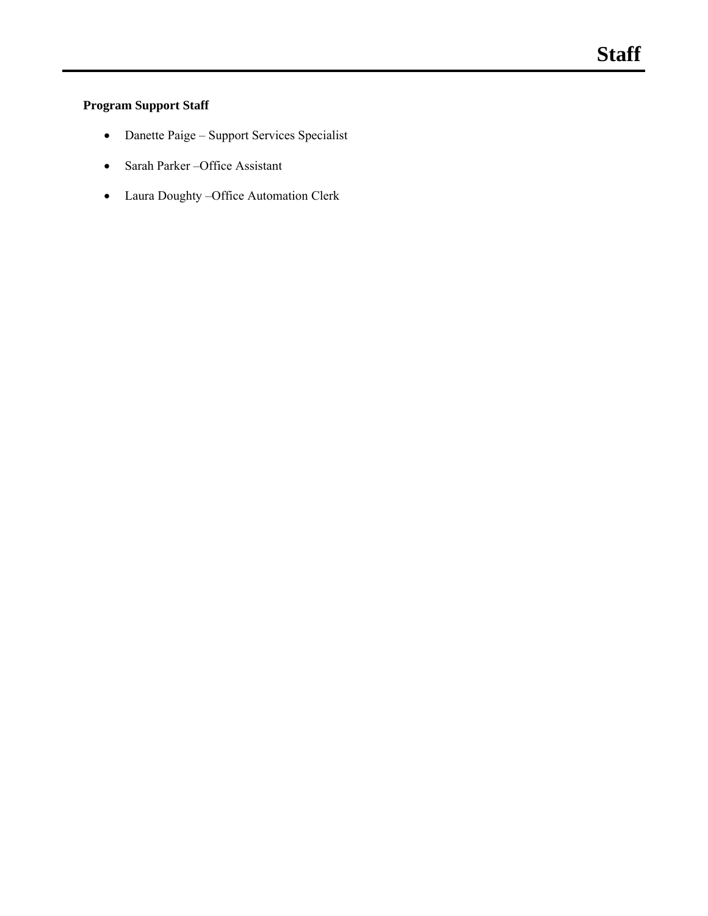# **Program Support Staff**

- Danette Paige Support Services Specialist
- Sarah Parker –Office Assistant
- Laura Doughty –Office Automation Clerk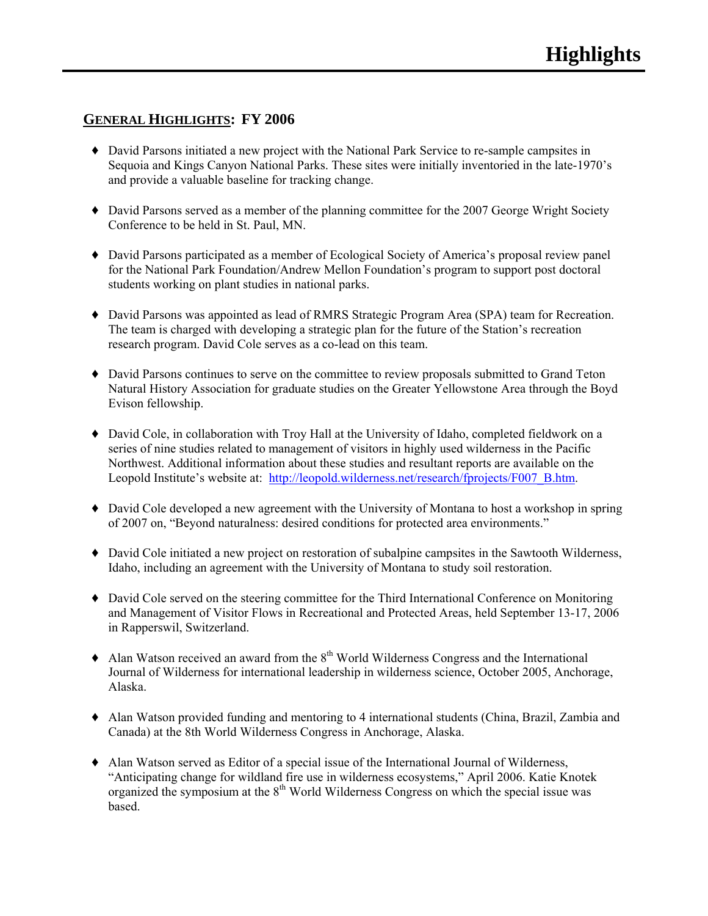# **GENERAL HIGHLIGHTS: FY 2006**

- ♦ David Parsons initiated a new project with the National Park Service to re-sample campsites in Sequoia and Kings Canyon National Parks. These sites were initially inventoried in the late-1970's and provide a valuable baseline for tracking change.
- ♦ David Parsons served as a member of the planning committee for the 2007 George Wright Society Conference to be held in St. Paul, MN.
- ♦ David Parsons participated as a member of Ecological Society of America's proposal review panel for the National Park Foundation/Andrew Mellon Foundation's program to support post doctoral students working on plant studies in national parks.
- ♦ David Parsons was appointed as lead of RMRS Strategic Program Area (SPA) team for Recreation. The team is charged with developing a strategic plan for the future of the Station's recreation research program. David Cole serves as a co-lead on this team.
- ♦ David Parsons continues to serve on the committee to review proposals submitted to Grand Teton Natural History Association for graduate studies on the Greater Yellowstone Area through the Boyd Evison fellowship.
- ♦ David Cole, in collaboration with Troy Hall at the University of Idaho, completed fieldwork on a series of nine studies related to management of visitors in highly used wilderness in the Pacific Northwest. Additional information about these studies and resultant reports are available on the Leopold Institute's website at: http://leopold.wilderness.net/research/fprojects/F007\_B.htm.
- ♦ David Cole developed a new agreement with the University of Montana to host a workshop in spring of 2007 on, "Beyond naturalness: desired conditions for protected area environments."
- ♦ David Cole initiated a new project on restoration of subalpine campsites in the Sawtooth Wilderness, Idaho, including an agreement with the University of Montana to study soil restoration.
- ♦ David Cole served on the steering committee for the Third International Conference on Monitoring and Management of Visitor Flows in Recreational and Protected Areas, held September 13-17, 2006 in Rapperswil, Switzerland.
- $\triangle$  Alan Watson received an award from the  $8<sup>th</sup>$  World Wilderness Congress and the International Journal of Wilderness for international leadership in wilderness science, October 2005, Anchorage, Alaska.
- ♦ Alan Watson provided funding and mentoring to 4 international students (China, Brazil, Zambia and Canada) at the 8th World Wilderness Congress in Anchorage, Alaska.
- ♦ Alan Watson served as Editor of a special issue of the International Journal of Wilderness, "Anticipating change for wildland fire use in wilderness ecosystems," April 2006. Katie Knotek organized the symposium at the  $8<sup>th</sup>$  World Wilderness Congress on which the special issue was based.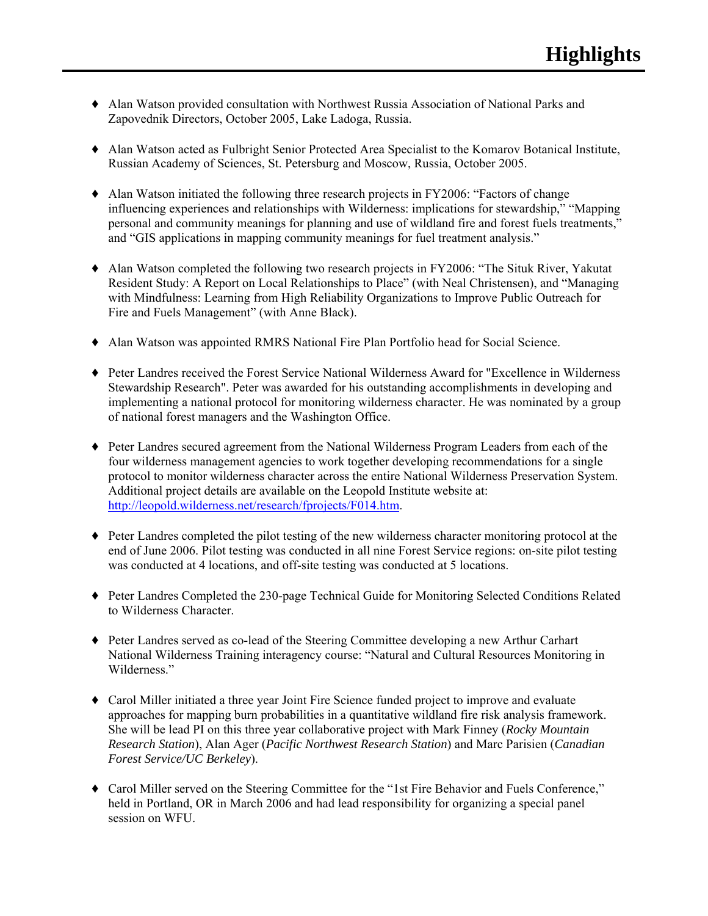- ♦ Alan Watson provided consultation with Northwest Russia Association of National Parks and Zapovednik Directors, October 2005, Lake Ladoga, Russia.
- ♦ Alan Watson acted as Fulbright Senior Protected Area Specialist to the Komarov Botanical Institute, Russian Academy of Sciences, St. Petersburg and Moscow, Russia, October 2005.
- ♦ Alan Watson initiated the following three research projects in FY2006: "Factors of change influencing experiences and relationships with Wilderness: implications for stewardship," "Mapping personal and community meanings for planning and use of wildland fire and forest fuels treatments," and "GIS applications in mapping community meanings for fuel treatment analysis."
- ♦ Alan Watson completed the following two research projects in FY2006: "The Situk River, Yakutat Resident Study: A Report on Local Relationships to Place" (with Neal Christensen), and "Managing with Mindfulness: Learning from High Reliability Organizations to Improve Public Outreach for Fire and Fuels Management" (with Anne Black).
- ♦ Alan Watson was appointed RMRS National Fire Plan Portfolio head for Social Science.
- ♦ Peter Landres received the Forest Service National Wilderness Award for "Excellence in Wilderness Stewardship Research". Peter was awarded for his outstanding accomplishments in developing and implementing a national protocol for monitoring wilderness character. He was nominated by a group of national forest managers and the Washington Office.
- ♦ Peter Landres secured agreement from the National Wilderness Program Leaders from each of the four wilderness management agencies to work together developing recommendations for a single protocol to monitor wilderness character across the entire National Wilderness Preservation System. Additional project details are available on the Leopold Institute website at: http://leopold.wilderness.net/research/fprojects/F014.htm.
- ♦ Peter Landres completed the pilot testing of the new wilderness character monitoring protocol at the end of June 2006. Pilot testing was conducted in all nine Forest Service regions: on-site pilot testing was conducted at 4 locations, and off-site testing was conducted at 5 locations.
- ♦ Peter Landres Completed the 230-page Technical Guide for Monitoring Selected Conditions Related to Wilderness Character.
- ♦ Peter Landres served as co-lead of the Steering Committee developing a new Arthur Carhart National Wilderness Training interagency course: "Natural and Cultural Resources Monitoring in Wilderness."
- ♦ Carol Miller initiated a three year Joint Fire Science funded project to improve and evaluate approaches for mapping burn probabilities in a quantitative wildland fire risk analysis framework. She will be lead PI on this three year collaborative project with Mark Finney (*Rocky Mountain Research Station*), Alan Ager (*Pacific Northwest Research Station*) and Marc Parisien (*Canadian Forest Service/UC Berkeley*).
- ♦ Carol Miller served on the Steering Committee for the "1st Fire Behavior and Fuels Conference," held in Portland, OR in March 2006 and had lead responsibility for organizing a special panel session on WFU.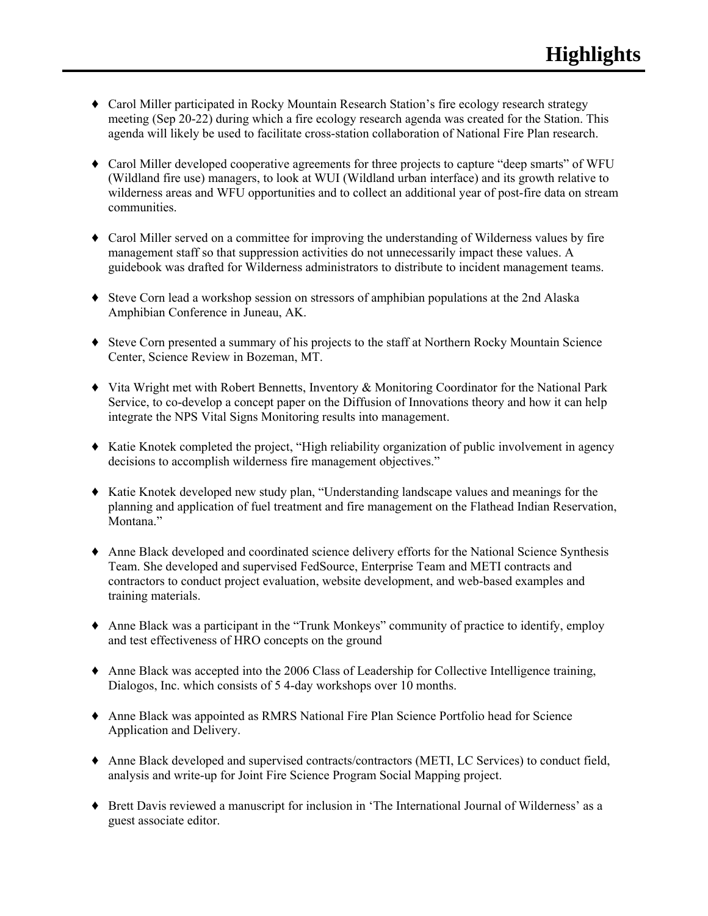- ♦ Carol Miller participated in Rocky Mountain Research Station's fire ecology research strategy meeting (Sep 20-22) during which a fire ecology research agenda was created for the Station. This agenda will likely be used to facilitate cross-station collaboration of National Fire Plan research.
- ♦ Carol Miller developed cooperative agreements for three projects to capture "deep smarts" of WFU (Wildland fire use) managers, to look at WUI (Wildland urban interface) and its growth relative to wilderness areas and WFU opportunities and to collect an additional year of post-fire data on stream communities.
- ♦ Carol Miller served on a committee for improving the understanding of Wilderness values by fire management staff so that suppression activities do not unnecessarily impact these values. A guidebook was drafted for Wilderness administrators to distribute to incident management teams.
- ♦ Steve Corn lead a workshop session on stressors of amphibian populations at the 2nd Alaska Amphibian Conference in Juneau, AK.
- ♦ Steve Corn presented a summary of his projects to the staff at Northern Rocky Mountain Science Center, Science Review in Bozeman, MT.
- ♦ Vita Wright met with Robert Bennetts, Inventory & Monitoring Coordinator for the National Park Service, to co-develop a concept paper on the Diffusion of Innovations theory and how it can help integrate the NPS Vital Signs Monitoring results into management.
- ♦ Katie Knotek completed the project, "High reliability organization of public involvement in agency decisions to accomplish wilderness fire management objectives."
- ♦ Katie Knotek developed new study plan, "Understanding landscape values and meanings for the planning and application of fuel treatment and fire management on the Flathead Indian Reservation, Montana."
- ♦ Anne Black developed and coordinated science delivery efforts for the National Science Synthesis Team. She developed and supervised FedSource, Enterprise Team and METI contracts and contractors to conduct project evaluation, website development, and web-based examples and training materials.
- ♦ Anne Black was a participant in the "Trunk Monkeys" community of practice to identify, employ and test effectiveness of HRO concepts on the ground
- ♦ Anne Black was accepted into the 2006 Class of Leadership for Collective Intelligence training, Dialogos, Inc. which consists of 5 4-day workshops over 10 months.
- ♦ Anne Black was appointed as RMRS National Fire Plan Science Portfolio head for Science Application and Delivery.
- ♦ Anne Black developed and supervised contracts/contractors (METI, LC Services) to conduct field, analysis and write-up for Joint Fire Science Program Social Mapping project.
- ♦ Brett Davis reviewed a manuscript for inclusion in 'The International Journal of Wilderness' as a guest associate editor.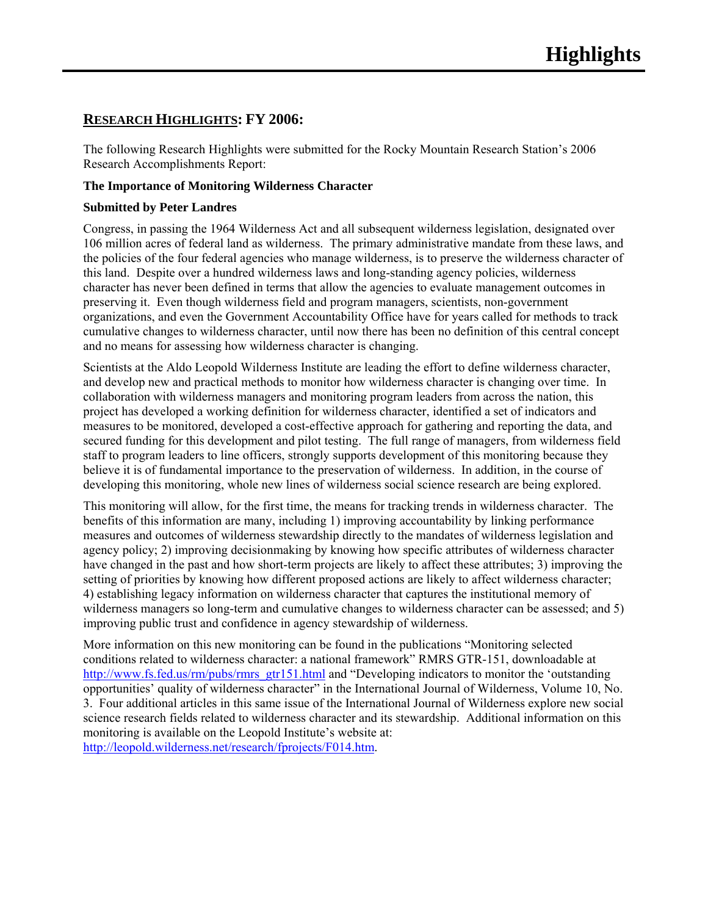# **RESEARCH HIGHLIGHTS: FY 2006:**

The following Research Highlights were submitted for the Rocky Mountain Research Station's 2006 Research Accomplishments Report:

# **The Importance of Monitoring Wilderness Character**

# **Submitted by Peter Landres**

Congress, in passing the 1964 Wilderness Act and all subsequent wilderness legislation, designated over 106 million acres of federal land as wilderness. The primary administrative mandate from these laws, and the policies of the four federal agencies who manage wilderness, is to preserve the wilderness character of this land. Despite over a hundred wilderness laws and long-standing agency policies, wilderness character has never been defined in terms that allow the agencies to evaluate management outcomes in preserving it. Even though wilderness field and program managers, scientists, non-government organizations, and even the Government Accountability Office have for years called for methods to track cumulative changes to wilderness character, until now there has been no definition of this central concept and no means for assessing how wilderness character is changing.

Scientists at the Aldo Leopold Wilderness Institute are leading the effort to define wilderness character, and develop new and practical methods to monitor how wilderness character is changing over time. In collaboration with wilderness managers and monitoring program leaders from across the nation, this project has developed a working definition for wilderness character, identified a set of indicators and measures to be monitored, developed a cost-effective approach for gathering and reporting the data, and secured funding for this development and pilot testing. The full range of managers, from wilderness field staff to program leaders to line officers, strongly supports development of this monitoring because they believe it is of fundamental importance to the preservation of wilderness. In addition, in the course of developing this monitoring, whole new lines of wilderness social science research are being explored.

This monitoring will allow, for the first time, the means for tracking trends in wilderness character. The benefits of this information are many, including 1) improving accountability by linking performance measures and outcomes of wilderness stewardship directly to the mandates of wilderness legislation and agency policy; 2) improving decisionmaking by knowing how specific attributes of wilderness character have changed in the past and how short-term projects are likely to affect these attributes; 3) improving the setting of priorities by knowing how different proposed actions are likely to affect wilderness character; 4) establishing legacy information on wilderness character that captures the institutional memory of wilderness managers so long-term and cumulative changes to wilderness character can be assessed; and 5) improving public trust and confidence in agency stewardship of wilderness.

More information on this new monitoring can be found in the publications "Monitoring selected conditions related to wilderness character: a national framework" RMRS GTR-151, downloadable at http://www.fs.fed.us/rm/pubs/rmrs\_gtr151.html and "Developing indicators to monitor the 'outstanding opportunities' quality of wilderness character" in the International Journal of Wilderness, Volume 10, No. 3. Four additional articles in this same issue of the International Journal of Wilderness explore new social science research fields related to wilderness character and its stewardship. Additional information on this monitoring is available on the Leopold Institute's website at:

http://leopold.wilderness.net/research/fprojects/F014.htm.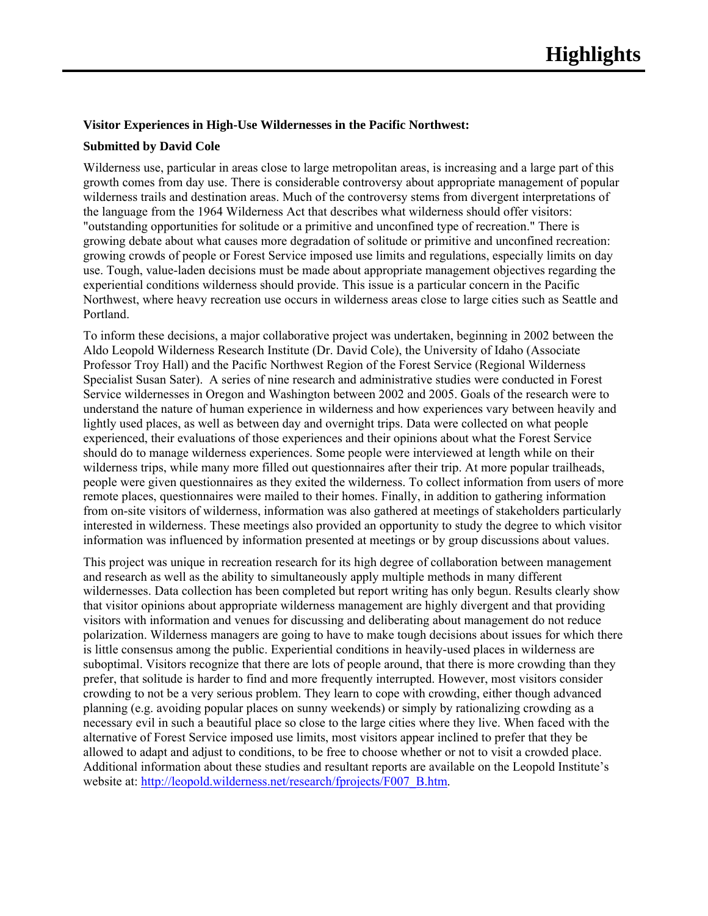#### **Visitor Experiences in High-Use Wildernesses in the Pacific Northwest:**

#### **Submitted by David Cole**

Wilderness use, particular in areas close to large metropolitan areas, is increasing and a large part of this growth comes from day use. There is considerable controversy about appropriate management of popular wilderness trails and destination areas. Much of the controversy stems from divergent interpretations of the language from the 1964 Wilderness Act that describes what wilderness should offer visitors: "outstanding opportunities for solitude or a primitive and unconfined type of recreation." There is growing debate about what causes more degradation of solitude or primitive and unconfined recreation: growing crowds of people or Forest Service imposed use limits and regulations, especially limits on day use. Tough, value-laden decisions must be made about appropriate management objectives regarding the experiential conditions wilderness should provide. This issue is a particular concern in the Pacific Northwest, where heavy recreation use occurs in wilderness areas close to large cities such as Seattle and Portland.

To inform these decisions, a major collaborative project was undertaken, beginning in 2002 between the Aldo Leopold Wilderness Research Institute (Dr. David Cole), the University of Idaho (Associate Professor Troy Hall) and the Pacific Northwest Region of the Forest Service (Regional Wilderness Specialist Susan Sater). A series of nine research and administrative studies were conducted in Forest Service wildernesses in Oregon and Washington between 2002 and 2005. Goals of the research were to understand the nature of human experience in wilderness and how experiences vary between heavily and lightly used places, as well as between day and overnight trips. Data were collected on what people experienced, their evaluations of those experiences and their opinions about what the Forest Service should do to manage wilderness experiences. Some people were interviewed at length while on their wilderness trips, while many more filled out questionnaires after their trip. At more popular trailheads, people were given questionnaires as they exited the wilderness. To collect information from users of more remote places, questionnaires were mailed to their homes. Finally, in addition to gathering information from on-site visitors of wilderness, information was also gathered at meetings of stakeholders particularly interested in wilderness. These meetings also provided an opportunity to study the degree to which visitor information was influenced by information presented at meetings or by group discussions about values.

This project was unique in recreation research for its high degree of collaboration between management and research as well as the ability to simultaneously apply multiple methods in many different wildernesses. Data collection has been completed but report writing has only begun. Results clearly show that visitor opinions about appropriate wilderness management are highly divergent and that providing visitors with information and venues for discussing and deliberating about management do not reduce polarization. Wilderness managers are going to have to make tough decisions about issues for which there is little consensus among the public. Experiential conditions in heavily-used places in wilderness are suboptimal. Visitors recognize that there are lots of people around, that there is more crowding than they prefer, that solitude is harder to find and more frequently interrupted. However, most visitors consider crowding to not be a very serious problem. They learn to cope with crowding, either though advanced planning (e.g. avoiding popular places on sunny weekends) or simply by rationalizing crowding as a necessary evil in such a beautiful place so close to the large cities where they live. When faced with the alternative of Forest Service imposed use limits, most visitors appear inclined to prefer that they be allowed to adapt and adjust to conditions, to be free to choose whether or not to visit a crowded place. Additional information about these studies and resultant reports are available on the Leopold Institute's website at: http://leopold.wilderness.net/research/fprojects/F007\_B.htm.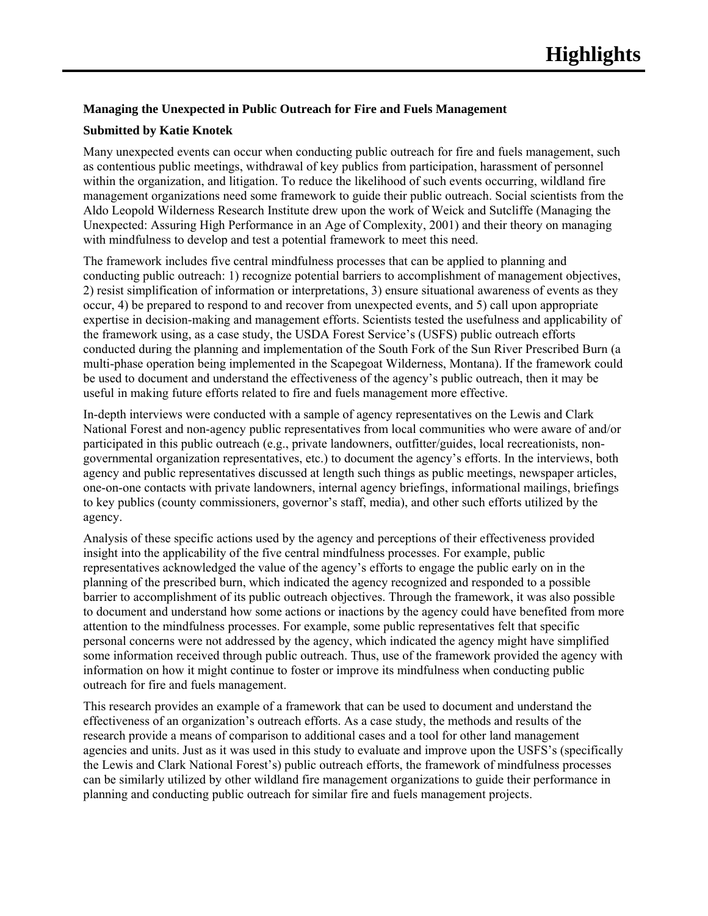# **Managing the Unexpected in Public Outreach for Fire and Fuels Management**

# **Submitted by Katie Knotek**

Many unexpected events can occur when conducting public outreach for fire and fuels management, such as contentious public meetings, withdrawal of key publics from participation, harassment of personnel within the organization, and litigation. To reduce the likelihood of such events occurring, wildland fire management organizations need some framework to guide their public outreach. Social scientists from the Aldo Leopold Wilderness Research Institute drew upon the work of Weick and Sutcliffe (Managing the Unexpected: Assuring High Performance in an Age of Complexity, 2001) and their theory on managing with mindfulness to develop and test a potential framework to meet this need.

The framework includes five central mindfulness processes that can be applied to planning and conducting public outreach: 1) recognize potential barriers to accomplishment of management objectives, 2) resist simplification of information or interpretations, 3) ensure situational awareness of events as they occur, 4) be prepared to respond to and recover from unexpected events, and 5) call upon appropriate expertise in decision-making and management efforts. Scientists tested the usefulness and applicability of the framework using, as a case study, the USDA Forest Service's (USFS) public outreach efforts conducted during the planning and implementation of the South Fork of the Sun River Prescribed Burn (a multi-phase operation being implemented in the Scapegoat Wilderness, Montana). If the framework could be used to document and understand the effectiveness of the agency's public outreach, then it may be useful in making future efforts related to fire and fuels management more effective.

In-depth interviews were conducted with a sample of agency representatives on the Lewis and Clark National Forest and non-agency public representatives from local communities who were aware of and/or participated in this public outreach (e.g., private landowners, outfitter/guides, local recreationists, nongovernmental organization representatives, etc.) to document the agency's efforts. In the interviews, both agency and public representatives discussed at length such things as public meetings, newspaper articles, one-on-one contacts with private landowners, internal agency briefings, informational mailings, briefings to key publics (county commissioners, governor's staff, media), and other such efforts utilized by the agency.

Analysis of these specific actions used by the agency and perceptions of their effectiveness provided insight into the applicability of the five central mindfulness processes. For example, public representatives acknowledged the value of the agency's efforts to engage the public early on in the planning of the prescribed burn, which indicated the agency recognized and responded to a possible barrier to accomplishment of its public outreach objectives. Through the framework, it was also possible to document and understand how some actions or inactions by the agency could have benefited from more attention to the mindfulness processes. For example, some public representatives felt that specific personal concerns were not addressed by the agency, which indicated the agency might have simplified some information received through public outreach. Thus, use of the framework provided the agency with information on how it might continue to foster or improve its mindfulness when conducting public outreach for fire and fuels management.

This research provides an example of a framework that can be used to document and understand the effectiveness of an organization's outreach efforts. As a case study, the methods and results of the research provide a means of comparison to additional cases and a tool for other land management agencies and units. Just as it was used in this study to evaluate and improve upon the USFS's (specifically the Lewis and Clark National Forest's) public outreach efforts, the framework of mindfulness processes can be similarly utilized by other wildland fire management organizations to guide their performance in planning and conducting public outreach for similar fire and fuels management projects.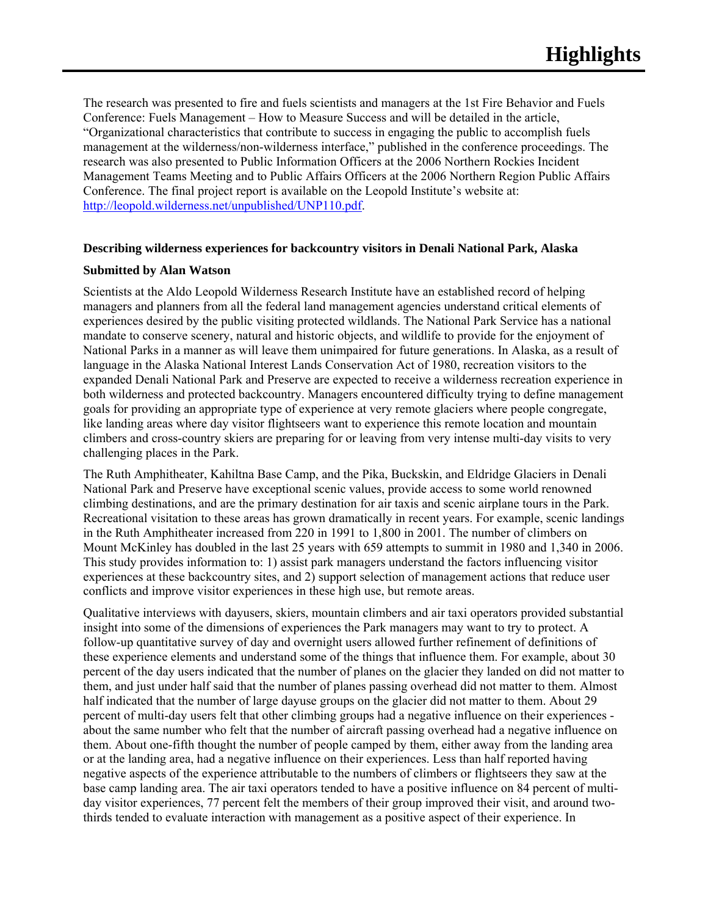The research was presented to fire and fuels scientists and managers at the 1st Fire Behavior and Fuels Conference: Fuels Management – How to Measure Success and will be detailed in the article, "Organizational characteristics that contribute to success in engaging the public to accomplish fuels management at the wilderness/non-wilderness interface," published in the conference proceedings. The research was also presented to Public Information Officers at the 2006 Northern Rockies Incident Management Teams Meeting and to Public Affairs Officers at the 2006 Northern Region Public Affairs Conference. The final project report is available on the Leopold Institute's website at: http://leopold.wilderness.net/unpublished/UNP110.pdf.

## **Describing wilderness experiences for backcountry visitors in Denali National Park, Alaska**

#### **Submitted by Alan Watson**

Scientists at the Aldo Leopold Wilderness Research Institute have an established record of helping managers and planners from all the federal land management agencies understand critical elements of experiences desired by the public visiting protected wildlands. The National Park Service has a national mandate to conserve scenery, natural and historic objects, and wildlife to provide for the enjoyment of National Parks in a manner as will leave them unimpaired for future generations. In Alaska, as a result of language in the Alaska National Interest Lands Conservation Act of 1980, recreation visitors to the expanded Denali National Park and Preserve are expected to receive a wilderness recreation experience in both wilderness and protected backcountry. Managers encountered difficulty trying to define management goals for providing an appropriate type of experience at very remote glaciers where people congregate, like landing areas where day visitor flightseers want to experience this remote location and mountain climbers and cross-country skiers are preparing for or leaving from very intense multi-day visits to very challenging places in the Park.

The Ruth Amphitheater, Kahiltna Base Camp, and the Pika, Buckskin, and Eldridge Glaciers in Denali National Park and Preserve have exceptional scenic values, provide access to some world renowned climbing destinations, and are the primary destination for air taxis and scenic airplane tours in the Park. Recreational visitation to these areas has grown dramatically in recent years. For example, scenic landings in the Ruth Amphitheater increased from 220 in 1991 to 1,800 in 2001. The number of climbers on Mount McKinley has doubled in the last 25 years with 659 attempts to summit in 1980 and 1,340 in 2006. This study provides information to: 1) assist park managers understand the factors influencing visitor experiences at these backcountry sites, and 2) support selection of management actions that reduce user conflicts and improve visitor experiences in these high use, but remote areas.

Qualitative interviews with dayusers, skiers, mountain climbers and air taxi operators provided substantial insight into some of the dimensions of experiences the Park managers may want to try to protect. A follow-up quantitative survey of day and overnight users allowed further refinement of definitions of these experience elements and understand some of the things that influence them. For example, about 30 percent of the day users indicated that the number of planes on the glacier they landed on did not matter to them, and just under half said that the number of planes passing overhead did not matter to them. Almost half indicated that the number of large dayuse groups on the glacier did not matter to them. About 29 percent of multi-day users felt that other climbing groups had a negative influence on their experiences about the same number who felt that the number of aircraft passing overhead had a negative influence on them. About one-fifth thought the number of people camped by them, either away from the landing area or at the landing area, had a negative influence on their experiences. Less than half reported having negative aspects of the experience attributable to the numbers of climbers or flightseers they saw at the base camp landing area. The air taxi operators tended to have a positive influence on 84 percent of multiday visitor experiences, 77 percent felt the members of their group improved their visit, and around twothirds tended to evaluate interaction with management as a positive aspect of their experience. In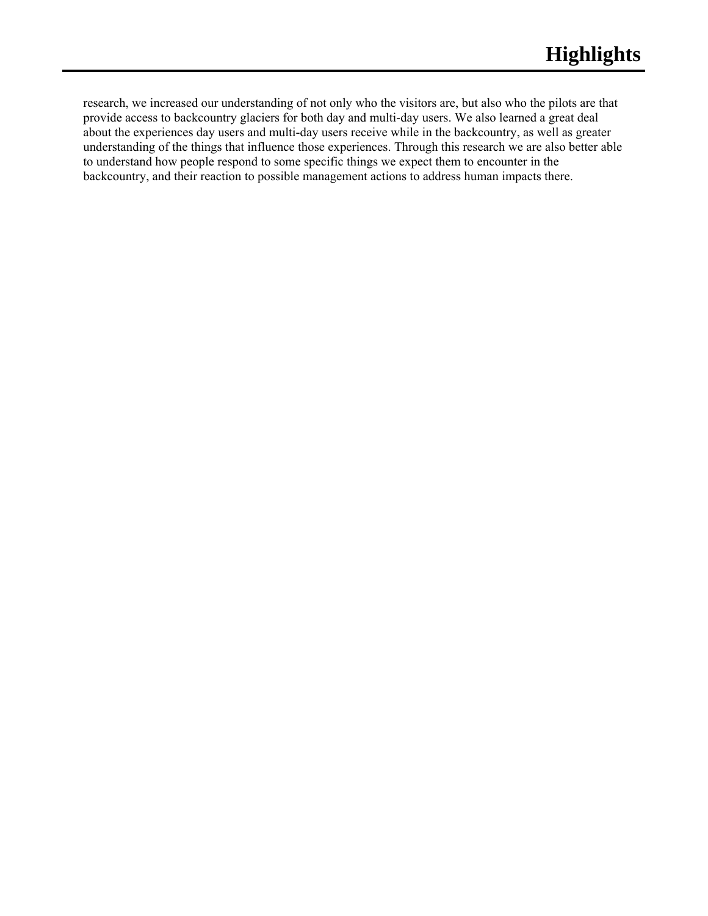research, we increased our understanding of not only who the visitors are, but also who the pilots are that provide access to backcountry glaciers for both day and multi-day users. We also learned a great deal about the experiences day users and multi-day users receive while in the backcountry, as well as greater understanding of the things that influence those experiences. Through this research we are also better able to understand how people respond to some specific things we expect them to encounter in the backcountry, and their reaction to possible management actions to address human impacts there.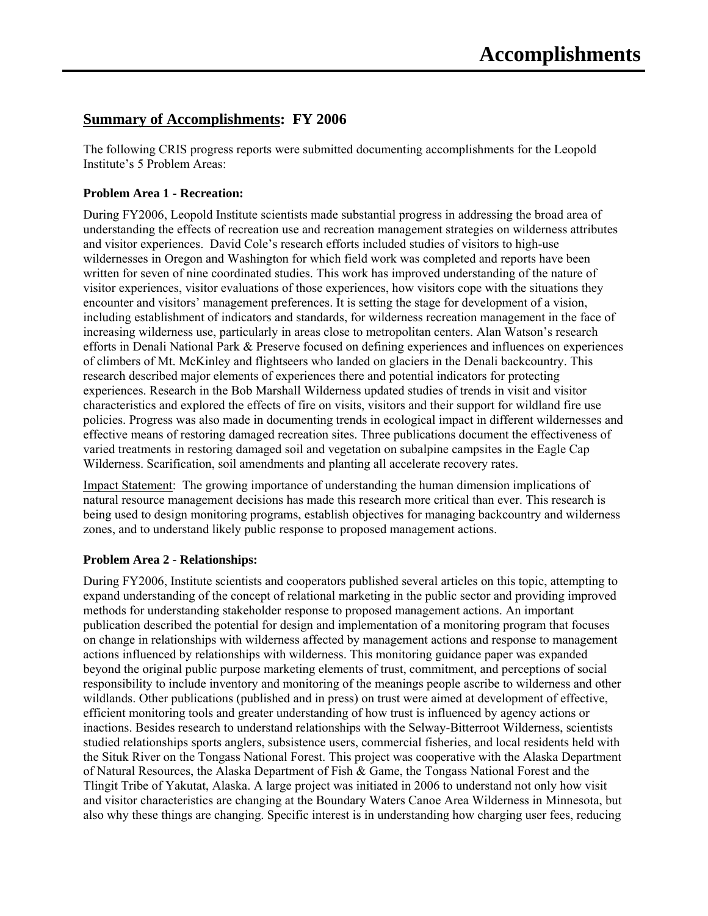# **Summary of Accomplishments: FY 2006**

The following CRIS progress reports were submitted documenting accomplishments for the Leopold Institute's 5 Problem Areas:

# **Problem Area 1 - Recreation:**

During FY2006, Leopold Institute scientists made substantial progress in addressing the broad area of understanding the effects of recreation use and recreation management strategies on wilderness attributes and visitor experiences. David Cole's research efforts included studies of visitors to high-use wildernesses in Oregon and Washington for which field work was completed and reports have been written for seven of nine coordinated studies. This work has improved understanding of the nature of visitor experiences, visitor evaluations of those experiences, how visitors cope with the situations they encounter and visitors' management preferences. It is setting the stage for development of a vision, including establishment of indicators and standards, for wilderness recreation management in the face of increasing wilderness use, particularly in areas close to metropolitan centers. Alan Watson's research efforts in Denali National Park & Preserve focused on defining experiences and influences on experiences of climbers of Mt. McKinley and flightseers who landed on glaciers in the Denali backcountry. This research described major elements of experiences there and potential indicators for protecting experiences. Research in the Bob Marshall Wilderness updated studies of trends in visit and visitor characteristics and explored the effects of fire on visits, visitors and their support for wildland fire use policies. Progress was also made in documenting trends in ecological impact in different wildernesses and effective means of restoring damaged recreation sites. Three publications document the effectiveness of varied treatments in restoring damaged soil and vegetation on subalpine campsites in the Eagle Cap Wilderness. Scarification, soil amendments and planting all accelerate recovery rates.

Impact Statement: The growing importance of understanding the human dimension implications of natural resource management decisions has made this research more critical than ever. This research is being used to design monitoring programs, establish objectives for managing backcountry and wilderness zones, and to understand likely public response to proposed management actions.

## **Problem Area 2 - Relationships:**

During FY2006, Institute scientists and cooperators published several articles on this topic, attempting to expand understanding of the concept of relational marketing in the public sector and providing improved methods for understanding stakeholder response to proposed management actions. An important publication described the potential for design and implementation of a monitoring program that focuses on change in relationships with wilderness affected by management actions and response to management actions influenced by relationships with wilderness. This monitoring guidance paper was expanded beyond the original public purpose marketing elements of trust, commitment, and perceptions of social responsibility to include inventory and monitoring of the meanings people ascribe to wilderness and other wildlands. Other publications (published and in press) on trust were aimed at development of effective, efficient monitoring tools and greater understanding of how trust is influenced by agency actions or inactions. Besides research to understand relationships with the Selway-Bitterroot Wilderness, scientists studied relationships sports anglers, subsistence users, commercial fisheries, and local residents held with the Situk River on the Tongass National Forest. This project was cooperative with the Alaska Department of Natural Resources, the Alaska Department of Fish & Game, the Tongass National Forest and the Tlingit Tribe of Yakutat, Alaska. A large project was initiated in 2006 to understand not only how visit and visitor characteristics are changing at the Boundary Waters Canoe Area Wilderness in Minnesota, but also why these things are changing. Specific interest is in understanding how charging user fees, reducing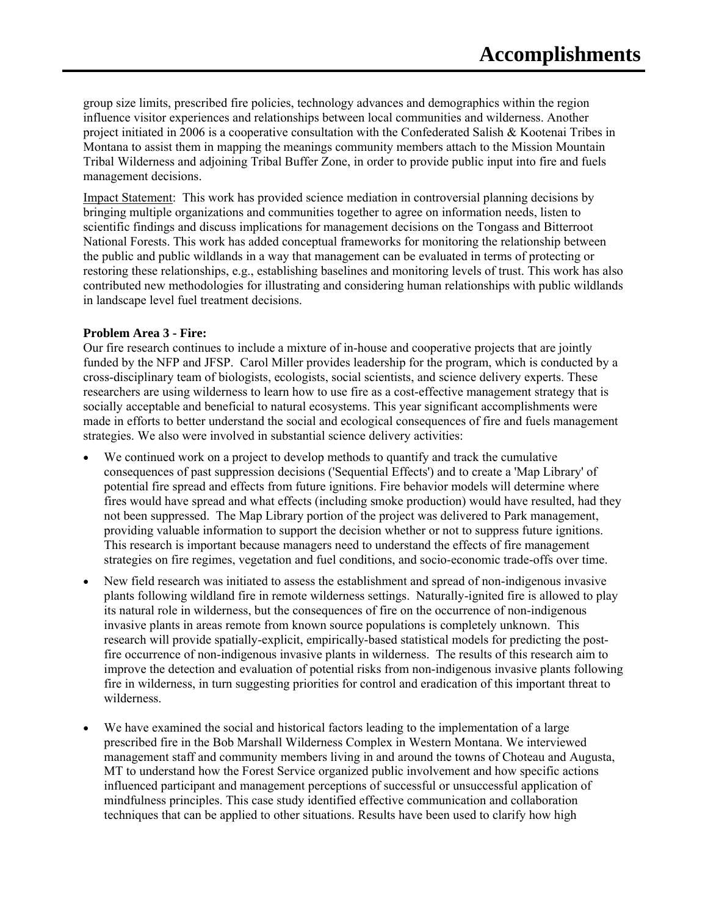group size limits, prescribed fire policies, technology advances and demographics within the region influence visitor experiences and relationships between local communities and wilderness. Another project initiated in 2006 is a cooperative consultation with the Confederated Salish & Kootenai Tribes in Montana to assist them in mapping the meanings community members attach to the Mission Mountain Tribal Wilderness and adjoining Tribal Buffer Zone, in order to provide public input into fire and fuels management decisions.

Impact Statement: This work has provided science mediation in controversial planning decisions by bringing multiple organizations and communities together to agree on information needs, listen to scientific findings and discuss implications for management decisions on the Tongass and Bitterroot National Forests. This work has added conceptual frameworks for monitoring the relationship between the public and public wildlands in a way that management can be evaluated in terms of protecting or restoring these relationships, e.g., establishing baselines and monitoring levels of trust. This work has also contributed new methodologies for illustrating and considering human relationships with public wildlands in landscape level fuel treatment decisions.

#### **Problem Area 3 - Fire:**

Our fire research continues to include a mixture of in-house and cooperative projects that are jointly funded by the NFP and JFSP. Carol Miller provides leadership for the program, which is conducted by a cross-disciplinary team of biologists, ecologists, social scientists, and science delivery experts. These researchers are using wilderness to learn how to use fire as a cost-effective management strategy that is socially acceptable and beneficial to natural ecosystems. This year significant accomplishments were made in efforts to better understand the social and ecological consequences of fire and fuels management strategies. We also were involved in substantial science delivery activities:

- We continued work on a project to develop methods to quantify and track the cumulative consequences of past suppression decisions ('Sequential Effects') and to create a 'Map Library' of potential fire spread and effects from future ignitions. Fire behavior models will determine where fires would have spread and what effects (including smoke production) would have resulted, had they not been suppressed. The Map Library portion of the project was delivered to Park management, providing valuable information to support the decision whether or not to suppress future ignitions. This research is important because managers need to understand the effects of fire management strategies on fire regimes, vegetation and fuel conditions, and socio-economic trade-offs over time.
- New field research was initiated to assess the establishment and spread of non-indigenous invasive plants following wildland fire in remote wilderness settings. Naturally-ignited fire is allowed to play its natural role in wilderness, but the consequences of fire on the occurrence of non-indigenous invasive plants in areas remote from known source populations is completely unknown. This research will provide spatially-explicit, empirically-based statistical models for predicting the postfire occurrence of non-indigenous invasive plants in wilderness. The results of this research aim to improve the detection and evaluation of potential risks from non-indigenous invasive plants following fire in wilderness, in turn suggesting priorities for control and eradication of this important threat to wilderness.
- We have examined the social and historical factors leading to the implementation of a large prescribed fire in the Bob Marshall Wilderness Complex in Western Montana. We interviewed management staff and community members living in and around the towns of Choteau and Augusta, MT to understand how the Forest Service organized public involvement and how specific actions influenced participant and management perceptions of successful or unsuccessful application of mindfulness principles. This case study identified effective communication and collaboration techniques that can be applied to other situations. Results have been used to clarify how high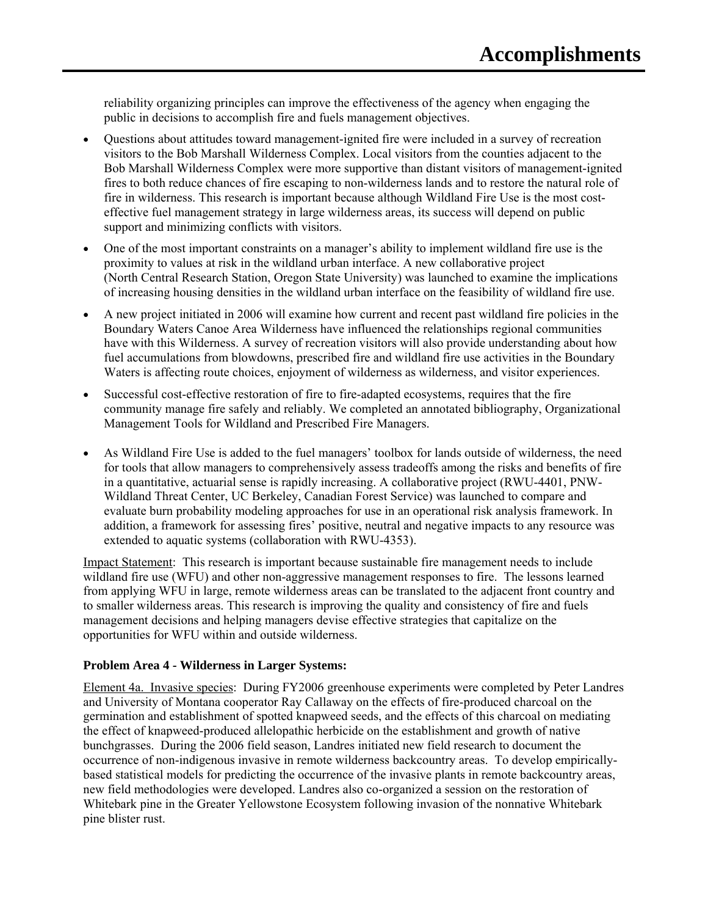reliability organizing principles can improve the effectiveness of the agency when engaging the public in decisions to accomplish fire and fuels management objectives.

- Questions about attitudes toward management-ignited fire were included in a survey of recreation visitors to the Bob Marshall Wilderness Complex. Local visitors from the counties adjacent to the Bob Marshall Wilderness Complex were more supportive than distant visitors of management-ignited fires to both reduce chances of fire escaping to non-wilderness lands and to restore the natural role of fire in wilderness. This research is important because although Wildland Fire Use is the most costeffective fuel management strategy in large wilderness areas, its success will depend on public support and minimizing conflicts with visitors.
- One of the most important constraints on a manager's ability to implement wildland fire use is the proximity to values at risk in the wildland urban interface. A new collaborative project (North Central Research Station, Oregon State University) was launched to examine the implications of increasing housing densities in the wildland urban interface on the feasibility of wildland fire use.
- A new project initiated in 2006 will examine how current and recent past wildland fire policies in the Boundary Waters Canoe Area Wilderness have influenced the relationships regional communities have with this Wilderness. A survey of recreation visitors will also provide understanding about how fuel accumulations from blowdowns, prescribed fire and wildland fire use activities in the Boundary Waters is affecting route choices, enjoyment of wilderness as wilderness, and visitor experiences.
- Successful cost-effective restoration of fire to fire-adapted ecosystems, requires that the fire community manage fire safely and reliably. We completed an annotated bibliography, Organizational Management Tools for Wildland and Prescribed Fire Managers.
- As Wildland Fire Use is added to the fuel managers' toolbox for lands outside of wilderness, the need for tools that allow managers to comprehensively assess tradeoffs among the risks and benefits of fire in a quantitative, actuarial sense is rapidly increasing. A collaborative project (RWU-4401, PNW-Wildland Threat Center, UC Berkeley, Canadian Forest Service) was launched to compare and evaluate burn probability modeling approaches for use in an operational risk analysis framework. In addition, a framework for assessing fires' positive, neutral and negative impacts to any resource was extended to aquatic systems (collaboration with RWU-4353).

Impact Statement: This research is important because sustainable fire management needs to include wildland fire use (WFU) and other non-aggressive management responses to fire. The lessons learned from applying WFU in large, remote wilderness areas can be translated to the adjacent front country and to smaller wilderness areas. This research is improving the quality and consistency of fire and fuels management decisions and helping managers devise effective strategies that capitalize on the opportunities for WFU within and outside wilderness.

## **Problem Area 4 - Wilderness in Larger Systems:**

Element 4a. Invasive species: During FY2006 greenhouse experiments were completed by Peter Landres and University of Montana cooperator Ray Callaway on the effects of fire-produced charcoal on the germination and establishment of spotted knapweed seeds, and the effects of this charcoal on mediating the effect of knapweed-produced allelopathic herbicide on the establishment and growth of native bunchgrasses. During the 2006 field season, Landres initiated new field research to document the occurrence of non-indigenous invasive in remote wilderness backcountry areas. To develop empiricallybased statistical models for predicting the occurrence of the invasive plants in remote backcountry areas, new field methodologies were developed. Landres also co-organized a session on the restoration of Whitebark pine in the Greater Yellowstone Ecosystem following invasion of the nonnative Whitebark pine blister rust.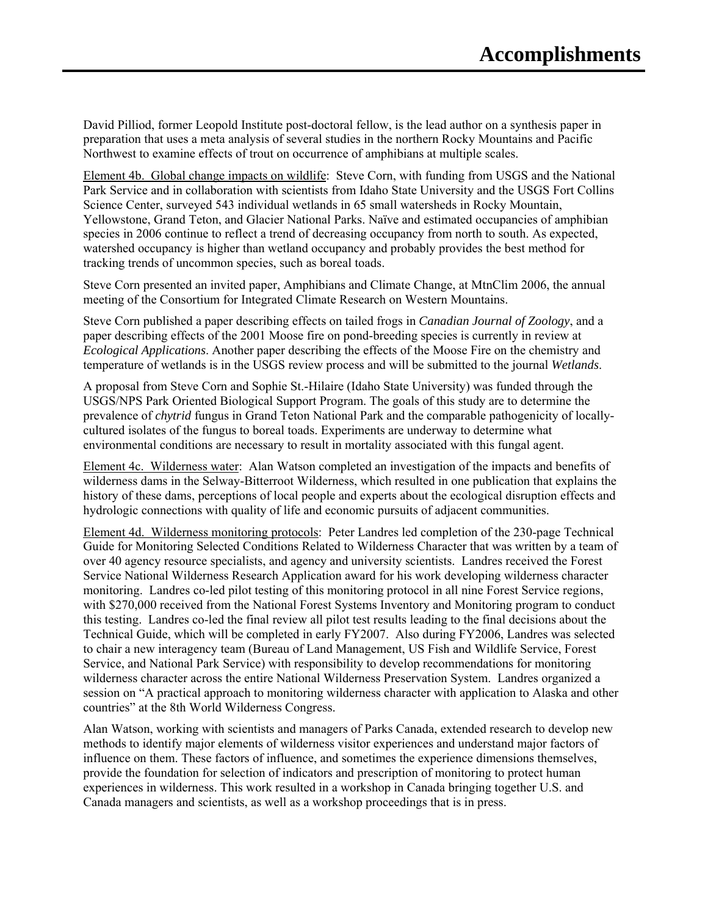David Pilliod, former Leopold Institute post-doctoral fellow, is the lead author on a synthesis paper in preparation that uses a meta analysis of several studies in the northern Rocky Mountains and Pacific Northwest to examine effects of trout on occurrence of amphibians at multiple scales.

Element 4b. Global change impacts on wildlife: Steve Corn, with funding from USGS and the National Park Service and in collaboration with scientists from Idaho State University and the USGS Fort Collins Science Center, surveyed 543 individual wetlands in 65 small watersheds in Rocky Mountain, Yellowstone, Grand Teton, and Glacier National Parks. Naïve and estimated occupancies of amphibian species in 2006 continue to reflect a trend of decreasing occupancy from north to south. As expected, watershed occupancy is higher than wetland occupancy and probably provides the best method for tracking trends of uncommon species, such as boreal toads.

Steve Corn presented an invited paper, Amphibians and Climate Change, at MtnClim 2006, the annual meeting of the Consortium for Integrated Climate Research on Western Mountains.

Steve Corn published a paper describing effects on tailed frogs in *Canadian Journal of Zoology*, and a paper describing effects of the 2001 Moose fire on pond-breeding species is currently in review at *Ecological Applications*. Another paper describing the effects of the Moose Fire on the chemistry and temperature of wetlands is in the USGS review process and will be submitted to the journal *Wetlands*.

A proposal from Steve Corn and Sophie St.-Hilaire (Idaho State University) was funded through the USGS/NPS Park Oriented Biological Support Program. The goals of this study are to determine the prevalence of *chytrid* fungus in Grand Teton National Park and the comparable pathogenicity of locallycultured isolates of the fungus to boreal toads. Experiments are underway to determine what environmental conditions are necessary to result in mortality associated with this fungal agent.

Element 4c. Wilderness water: Alan Watson completed an investigation of the impacts and benefits of wilderness dams in the Selway-Bitterroot Wilderness, which resulted in one publication that explains the history of these dams, perceptions of local people and experts about the ecological disruption effects and hydrologic connections with quality of life and economic pursuits of adjacent communities.

Element 4d. Wilderness monitoring protocols: Peter Landres led completion of the 230-page Technical Guide for Monitoring Selected Conditions Related to Wilderness Character that was written by a team of over 40 agency resource specialists, and agency and university scientists. Landres received the Forest Service National Wilderness Research Application award for his work developing wilderness character monitoring. Landres co-led pilot testing of this monitoring protocol in all nine Forest Service regions, with \$270,000 received from the National Forest Systems Inventory and Monitoring program to conduct this testing. Landres co-led the final review all pilot test results leading to the final decisions about the Technical Guide, which will be completed in early FY2007. Also during FY2006, Landres was selected to chair a new interagency team (Bureau of Land Management, US Fish and Wildlife Service, Forest Service, and National Park Service) with responsibility to develop recommendations for monitoring wilderness character across the entire National Wilderness Preservation System. Landres organized a session on "A practical approach to monitoring wilderness character with application to Alaska and other countries" at the 8th World Wilderness Congress.

Alan Watson, working with scientists and managers of Parks Canada, extended research to develop new methods to identify major elements of wilderness visitor experiences and understand major factors of influence on them. These factors of influence, and sometimes the experience dimensions themselves, provide the foundation for selection of indicators and prescription of monitoring to protect human experiences in wilderness. This work resulted in a workshop in Canada bringing together U.S. and Canada managers and scientists, as well as a workshop proceedings that is in press.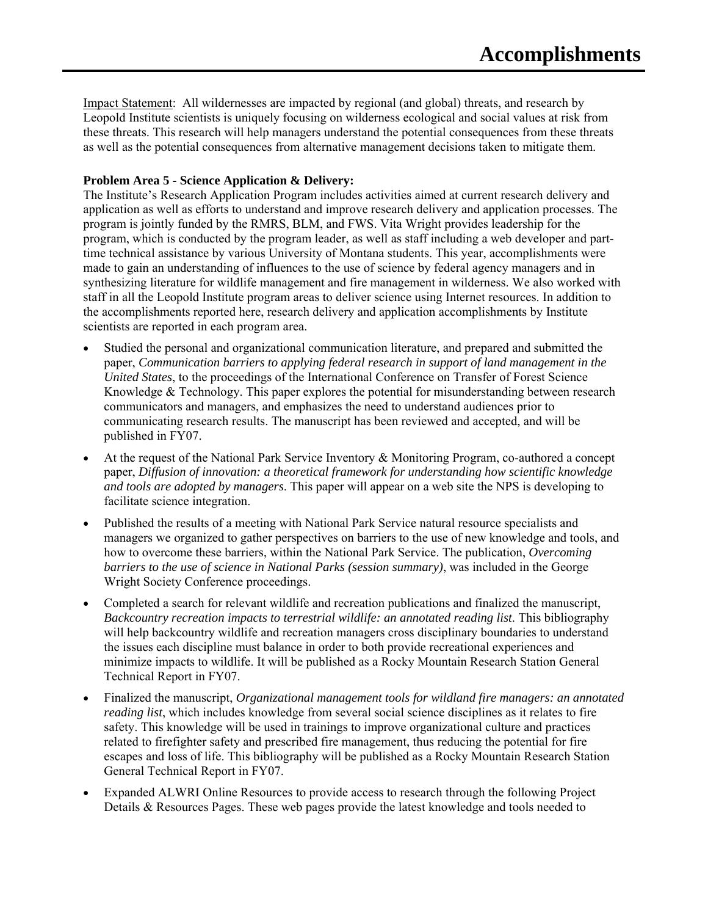Impact Statement: All wildernesses are impacted by regional (and global) threats, and research by Leopold Institute scientists is uniquely focusing on wilderness ecological and social values at risk from these threats. This research will help managers understand the potential consequences from these threats as well as the potential consequences from alternative management decisions taken to mitigate them.

# **Problem Area 5 - Science Application & Delivery:**

The Institute's Research Application Program includes activities aimed at current research delivery and application as well as efforts to understand and improve research delivery and application processes. The program is jointly funded by the RMRS, BLM, and FWS. Vita Wright provides leadership for the program, which is conducted by the program leader, as well as staff including a web developer and parttime technical assistance by various University of Montana students. This year, accomplishments were made to gain an understanding of influences to the use of science by federal agency managers and in synthesizing literature for wildlife management and fire management in wilderness. We also worked with staff in all the Leopold Institute program areas to deliver science using Internet resources. In addition to the accomplishments reported here, research delivery and application accomplishments by Institute scientists are reported in each program area.

- Studied the personal and organizational communication literature, and prepared and submitted the paper, *Communication barriers to applying federal research in support of land management in the United States*, to the proceedings of the International Conference on Transfer of Forest Science Knowledge  $\&$  Technology. This paper explores the potential for misunderstanding between research communicators and managers, and emphasizes the need to understand audiences prior to communicating research results. The manuscript has been reviewed and accepted, and will be published in FY07.
- At the request of the National Park Service Inventory & Monitoring Program, co-authored a concept paper, *Diffusion of innovation: a theoretical framework for understanding how scientific knowledge and tools are adopted by managers*. This paper will appear on a web site the NPS is developing to facilitate science integration.
- Published the results of a meeting with National Park Service natural resource specialists and managers we organized to gather perspectives on barriers to the use of new knowledge and tools, and how to overcome these barriers, within the National Park Service. The publication, *Overcoming barriers to the use of science in National Parks (session summary)*, was included in the George Wright Society Conference proceedings.
- Completed a search for relevant wildlife and recreation publications and finalized the manuscript, *Backcountry recreation impacts to terrestrial wildlife: an annotated reading list*. This bibliography will help backcountry wildlife and recreation managers cross disciplinary boundaries to understand the issues each discipline must balance in order to both provide recreational experiences and minimize impacts to wildlife. It will be published as a Rocky Mountain Research Station General Technical Report in FY07.
- Finalized the manuscript, *Organizational management tools for wildland fire managers: an annotated reading list*, which includes knowledge from several social science disciplines as it relates to fire safety. This knowledge will be used in trainings to improve organizational culture and practices related to firefighter safety and prescribed fire management, thus reducing the potential for fire escapes and loss of life. This bibliography will be published as a Rocky Mountain Research Station General Technical Report in FY07.
- Expanded ALWRI Online Resources to provide access to research through the following Project Details & Resources Pages. These web pages provide the latest knowledge and tools needed to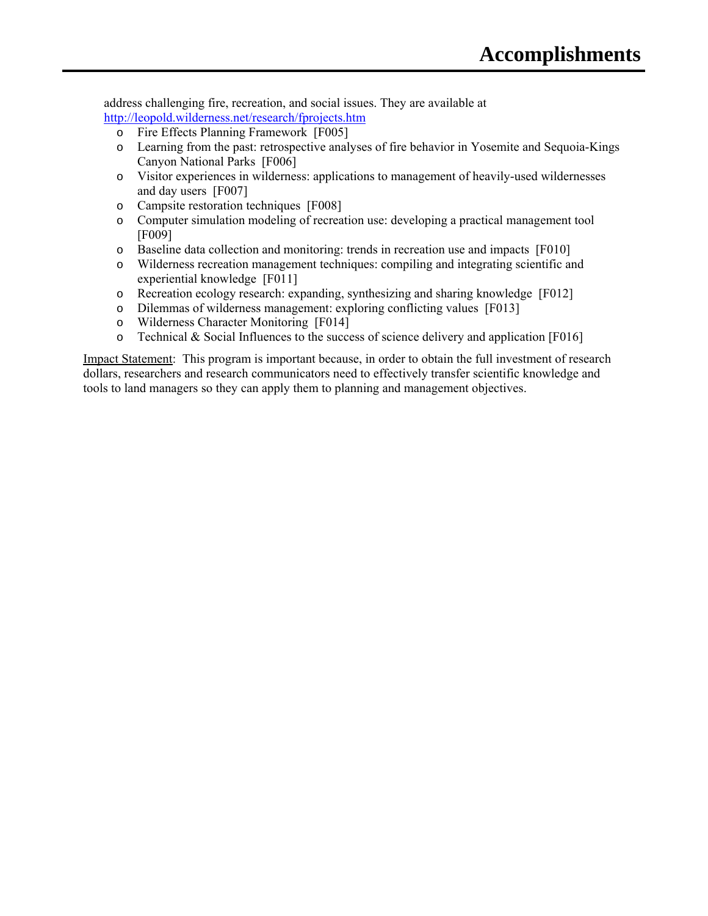address challenging fire, recreation, and social issues. They are available at http://leopold.wilderness.net/research/fprojects.htm

- o Fire Effects Planning Framework [F005]
- o Learning from the past: retrospective analyses of fire behavior in Yosemite and Sequoia-Kings Canyon National Parks [F006]
- o Visitor experiences in wilderness: applications to management of heavily-used wildernesses and day users [F007]
- o Campsite restoration techniques [F008]
- o Computer simulation modeling of recreation use: developing a practical management tool [F009]
- o Baseline data collection and monitoring: trends in recreation use and impacts [F010]
- o Wilderness recreation management techniques: compiling and integrating scientific and experiential knowledge [F011]
- o Recreation ecology research: expanding, synthesizing and sharing knowledge [F012]
- o Dilemmas of wilderness management: exploring conflicting values [F013]
- o Wilderness Character Monitoring [F014]
- o Technical & Social Influences to the success of science delivery and application [F016]

Impact Statement: This program is important because, in order to obtain the full investment of research dollars, researchers and research communicators need to effectively transfer scientific knowledge and tools to land managers so they can apply them to planning and management objectives.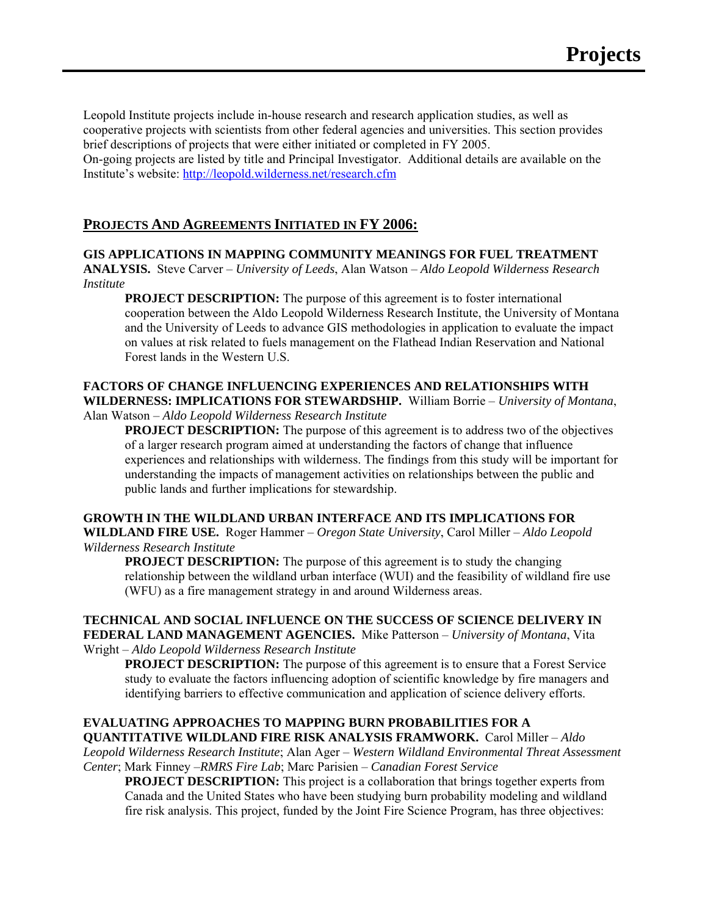Leopold Institute projects include in-house research and research application studies, as well as cooperative projects with scientists from other federal agencies and universities. This section provides brief descriptions of projects that were either initiated or completed in FY 2005.

On-going projects are listed by title and Principal Investigator. Additional details are available on the Institute's website: http://leopold.wilderness.net/research.cfm

# **PROJECTS AND AGREEMENTS INITIATED IN FY 2006:**

## **GIS APPLICATIONS IN MAPPING COMMUNITY MEANINGS FOR FUEL TREATMENT**

**ANALYSIS.** Steve Carver – *University of Leeds*, Alan Watson – *Aldo Leopold Wilderness Research Institute*

**PROJECT DESCRIPTION:** The purpose of this agreement is to foster international cooperation between the Aldo Leopold Wilderness Research Institute, the University of Montana and the University of Leeds to advance GIS methodologies in application to evaluate the impact on values at risk related to fuels management on the Flathead Indian Reservation and National Forest lands in the Western U.S.

# **FACTORS OF CHANGE INFLUENCING EXPERIENCES AND RELATIONSHIPS WITH WILDERNESS: IMPLICATIONS FOR STEWARDSHIP.** William Borrie – *University of Montana*,

Alan Watson – *Aldo Leopold Wilderness Research Institute*

**PROJECT DESCRIPTION:** The purpose of this agreement is to address two of the objectives of a larger research program aimed at understanding the factors of change that influence experiences and relationships with wilderness. The findings from this study will be important for understanding the impacts of management activities on relationships between the public and public lands and further implications for stewardship.

## **GROWTH IN THE WILDLAND URBAN INTERFACE AND ITS IMPLICATIONS FOR**

**WILDLAND FIRE USE.** Roger Hammer – *Oregon State University*, Carol Miller – *Aldo Leopold Wilderness Research Institute*

**PROJECT DESCRIPTION:** The purpose of this agreement is to study the changing relationship between the wildland urban interface (WUI) and the feasibility of wildland fire use (WFU) as a fire management strategy in and around Wilderness areas.

**TECHNICAL AND SOCIAL INFLUENCE ON THE SUCCESS OF SCIENCE DELIVERY IN FEDERAL LAND MANAGEMENT AGENCIES.** Mike Patterson – *University of Montana*, Vita Wright – *Aldo Leopold Wilderness Research Institute*

**PROJECT DESCRIPTION:** The purpose of this agreement is to ensure that a Forest Service study to evaluate the factors influencing adoption of scientific knowledge by fire managers and identifying barriers to effective communication and application of science delivery efforts.

#### **EVALUATING APPROACHES TO MAPPING BURN PROBABILITIES FOR A QUANTITATIVE WILDLAND FIRE RISK ANALYSIS FRAMWORK.** Carol Miller – *Aldo*

*Leopold Wilderness Research Institute*; Alan Ager – *Western Wildland Environmental Threat Assessment Center*; Mark Finney –*RMRS Fire Lab*; Marc Parisien – *Canadian Forest Service*

**PROJECT DESCRIPTION:** This project is a collaboration that brings together experts from Canada and the United States who have been studying burn probability modeling and wildland fire risk analysis. This project, funded by the Joint Fire Science Program, has three objectives: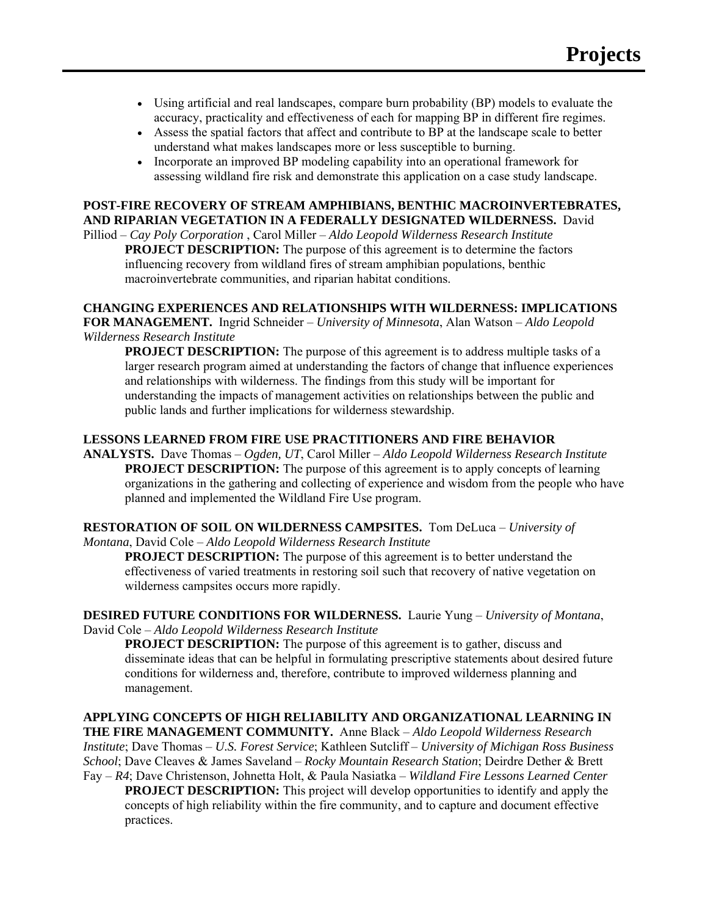- Using artificial and real landscapes, compare burn probability (BP) models to evaluate the accuracy, practicality and effectiveness of each for mapping BP in different fire regimes.
- Assess the spatial factors that affect and contribute to BP at the landscape scale to better understand what makes landscapes more or less susceptible to burning.
- Incorporate an improved BP modeling capability into an operational framework for assessing wildland fire risk and demonstrate this application on a case study landscape.

# **POST-FIRE RECOVERY OF STREAM AMPHIBIANS, BENTHIC MACROINVERTEBRATES, AND RIPARIAN VEGETATION IN A FEDERALLY DESIGNATED WILDERNESS.** David

Pilliod – *Cay Poly Corporation* , Carol Miller – *Aldo Leopold Wilderness Research Institute* **PROJECT DESCRIPTION:** The purpose of this agreement is to determine the factors influencing recovery from wildland fires of stream amphibian populations, benthic macroinvertebrate communities, and riparian habitat conditions.

## **CHANGING EXPERIENCES AND RELATIONSHIPS WITH WILDERNESS: IMPLICATIONS**

**FOR MANAGEMENT.** Ingrid Schneider – *University of Minnesota*, Alan Watson – *Aldo Leopold Wilderness Research Institute*

**PROJECT DESCRIPTION:** The purpose of this agreement is to address multiple tasks of a larger research program aimed at understanding the factors of change that influence experiences and relationships with wilderness. The findings from this study will be important for understanding the impacts of management activities on relationships between the public and public lands and further implications for wilderness stewardship.

# **LESSONS LEARNED FROM FIRE USE PRACTITIONERS AND FIRE BEHAVIOR**

**ANALYSTS.** Dave Thomas – *Ogden, UT*, Carol Miller – *Aldo Leopold Wilderness Research Institute* **PROJECT DESCRIPTION:** The purpose of this agreement is to apply concepts of learning organizations in the gathering and collecting of experience and wisdom from the people who have planned and implemented the Wildland Fire Use program.

# **RESTORATION OF SOIL ON WILDERNESS CAMPSITES.** Tom DeLuca – *University of*

*Montana*, David Cole – *Aldo Leopold Wilderness Research Institute*

**PROJECT DESCRIPTION:** The purpose of this agreement is to better understand the effectiveness of varied treatments in restoring soil such that recovery of native vegetation on wilderness campsites occurs more rapidly.

**DESIRED FUTURE CONDITIONS FOR WILDERNESS.** Laurie Yung – *University of Montana*, David Cole – *Aldo Leopold Wilderness Research Institute*

**PROJECT DESCRIPTION:** The purpose of this agreement is to gather, discuss and disseminate ideas that can be helpful in formulating prescriptive statements about desired future conditions for wilderness and, therefore, contribute to improved wilderness planning and management.

**APPLYING CONCEPTS OF HIGH RELIABILITY AND ORGANIZATIONAL LEARNING IN THE FIRE MANAGEMENT COMMUNITY.** Anne Black – *Aldo Leopold Wilderness Research Institute*; Dave Thomas – *U.S. Forest Service*; Kathleen Sutcliff – *University of Michigan Ross Business School*; Dave Cleaves & James Saveland – *Rocky Mountain Research Station*; Deirdre Dether & Brett Fay – *R4*; Dave Christenson, Johnetta Holt, & Paula Nasiatka – *Wildland Fire Lessons Learned Center*

**PROJECT DESCRIPTION:** This project will develop opportunities to identify and apply the concepts of high reliability within the fire community, and to capture and document effective practices.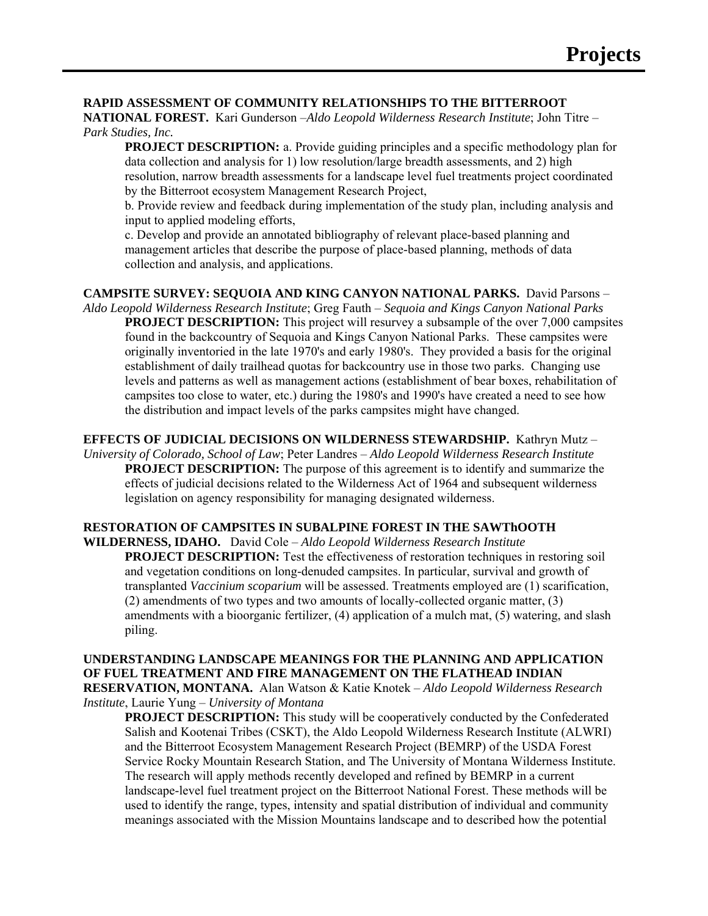#### **RAPID ASSESSMENT OF COMMUNITY RELATIONSHIPS TO THE BITTERROOT**

**NATIONAL FOREST.** Kari Gunderson –*Aldo Leopold Wilderness Research Institute*; John Titre – *Park Studies, Inc.*

**PROJECT DESCRIPTION:** a. Provide guiding principles and a specific methodology plan for data collection and analysis for 1) low resolution/large breadth assessments, and 2) high resolution, narrow breadth assessments for a landscape level fuel treatments project coordinated by the Bitterroot ecosystem Management Research Project,

b. Provide review and feedback during implementation of the study plan, including analysis and input to applied modeling efforts,

c. Develop and provide an annotated bibliography of relevant place-based planning and management articles that describe the purpose of place-based planning, methods of data collection and analysis, and applications.

**CAMPSITE SURVEY: SEQUOIA AND KING CANYON NATIONAL PARKS.** David Parsons – *Aldo Leopold Wilderness Research Institute*; Greg Fauth – *Sequoia and Kings Canyon National Parks* **PROJECT DESCRIPTION:** This project will resurvey a subsample of the over 7,000 campsites found in the backcountry of Sequoia and Kings Canyon National Parks. These campsites were originally inventoried in the late 1970's and early 1980's. They provided a basis for the original establishment of daily trailhead quotas for backcountry use in those two parks. Changing use levels and patterns as well as management actions (establishment of bear boxes, rehabilitation of campsites too close to water, etc.) during the 1980's and 1990's have created a need to see how the distribution and impact levels of the parks campsites might have changed.

**EFFECTS OF JUDICIAL DECISIONS ON WILDERNESS STEWARDSHIP.** Kathryn Mutz -*University of Colorado, School of Law*; Peter Landres – *Aldo Leopold Wilderness Research Institute* **PROJECT DESCRIPTION:** The purpose of this agreement is to identify and summarize the effects of judicial decisions related to the Wilderness Act of 1964 and subsequent wilderness legislation on agency responsibility for managing designated wilderness.

#### **RESTORATION OF CAMPSITES IN SUBALPINE FOREST IN THE SAWThOOTH**

**WILDERNESS, IDAHO.** David Cole – *Aldo Leopold Wilderness Research Institute* **PROJECT DESCRIPTION:** Test the effectiveness of restoration techniques in restoring soil and vegetation conditions on long-denuded campsites. In particular, survival and growth of transplanted *Vaccinium scoparium* will be assessed. Treatments employed are (1) scarification, (2) amendments of two types and two amounts of locally-collected organic matter, (3) amendments with a bioorganic fertilizer, (4) application of a mulch mat, (5) watering, and slash piling.

**UNDERSTANDING LANDSCAPE MEANINGS FOR THE PLANNING AND APPLICATION OF FUEL TREATMENT AND FIRE MANAGEMENT ON THE FLATHEAD INDIAN RESERVATION, MONTANA.** Alan Watson & Katie Knotek – *Aldo Leopold Wilderness Research Institute*, Laurie Yung – *University of Montana*

**PROJECT DESCRIPTION:** This study will be cooperatively conducted by the Confederated Salish and Kootenai Tribes (CSKT), the Aldo Leopold Wilderness Research Institute (ALWRI) and the Bitterroot Ecosystem Management Research Project (BEMRP) of the USDA Forest Service Rocky Mountain Research Station, and The University of Montana Wilderness Institute. The research will apply methods recently developed and refined by BEMRP in a current landscape-level fuel treatment project on the Bitterroot National Forest. These methods will be used to identify the range, types, intensity and spatial distribution of individual and community meanings associated with the Mission Mountains landscape and to described how the potential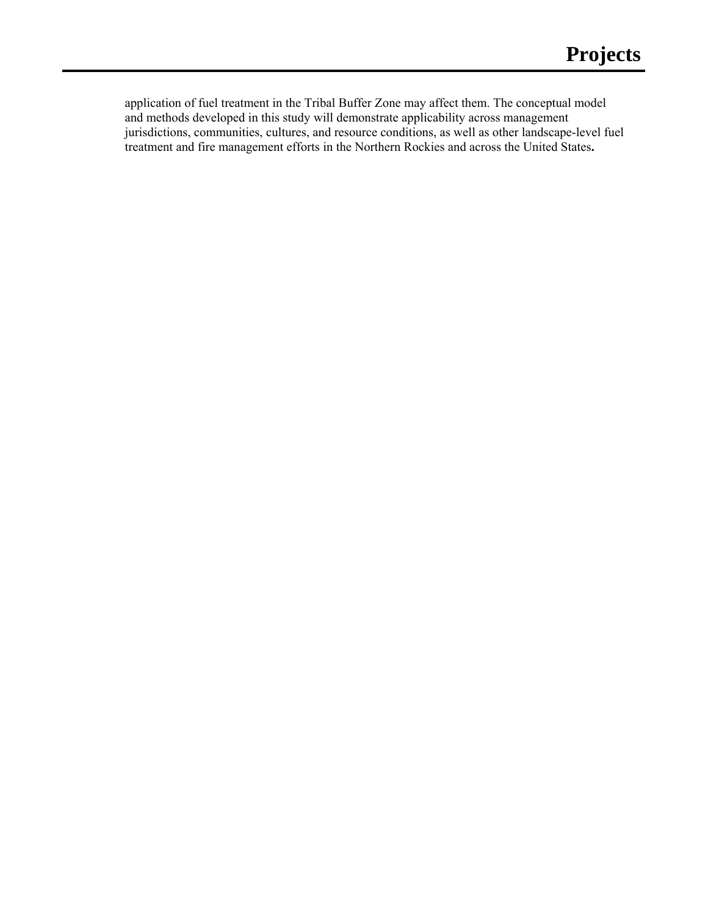application of fuel treatment in the Tribal Buffer Zone may affect them. The conceptual model and methods developed in this study will demonstrate applicability across management jurisdictions, communities, cultures, and resource conditions, as well as other landscape-level fuel treatment and fire management efforts in the Northern Rockies and across the United States**.**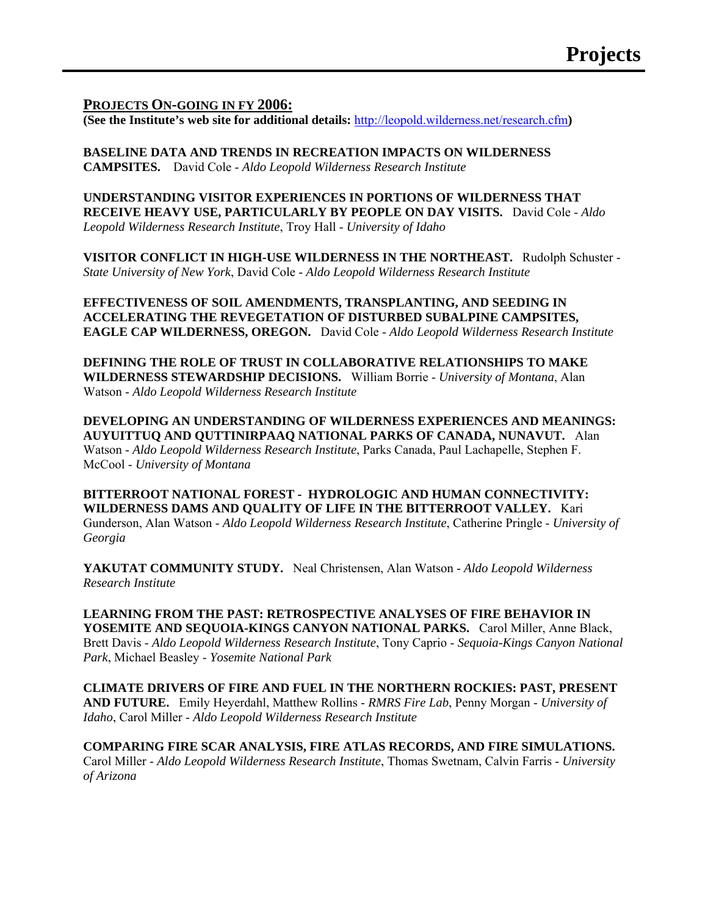## **PROJECTS ON-GOING IN FY 2006:**

**(See the Institute's web site for additional details:** http://leopold.wilderness.net/research.cfm**)** 

**BASELINE DATA AND TRENDS IN RECREATION IMPACTS ON WILDERNESS CAMPSITES.** David Cole - *Aldo Leopold Wilderness Research Institute*

**UNDERSTANDING VISITOR EXPERIENCES IN PORTIONS OF WILDERNESS THAT RECEIVE HEAVY USE, PARTICULARLY BY PEOPLE ON DAY VISITS.** David Cole - *Aldo Leopold Wilderness Research Institute*, Troy Hall - *University of Idaho*

**VISITOR CONFLICT IN HIGH-USE WILDERNESS IN THE NORTHEAST.** Rudolph Schuster - *State University of New York*, David Cole - *Aldo Leopold Wilderness Research Institute*

**EFFECTIVENESS OF SOIL AMENDMENTS, TRANSPLANTING, AND SEEDING IN ACCELERATING THE REVEGETATION OF DISTURBED SUBALPINE CAMPSITES, EAGLE CAP WILDERNESS, OREGON.** David Cole - *Aldo Leopold Wilderness Research Institute*

**DEFINING THE ROLE OF TRUST IN COLLABORATIVE RELATIONSHIPS TO MAKE WILDERNESS STEWARDSHIP DECISIONS.** William Borrie - *University of Montana*, Alan Watson - *Aldo Leopold Wilderness Research Institute*

**DEVELOPING AN UNDERSTANDING OF WILDERNESS EXPERIENCES AND MEANINGS: AUYUITTUQ AND QUTTINIRPAAQ NATIONAL PARKS OF CANADA, NUNAVUT.** Alan Watson - *Aldo Leopold Wilderness Research Institute*, Parks Canada, Paul Lachapelle, Stephen F. McCool - *University of Montana*

**BITTERROOT NATIONAL FOREST - HYDROLOGIC AND HUMAN CONNECTIVITY: WILDERNESS DAMS AND QUALITY OF LIFE IN THE BITTERROOT VALLEY.** Kari Gunderson, Alan Watson - *Aldo Leopold Wilderness Research Institute*, Catherine Pringle - *University of Georgia* 

**YAKUTAT COMMUNITY STUDY.** Neal Christensen, Alan Watson - *Aldo Leopold Wilderness Research Institute* 

**LEARNING FROM THE PAST: RETROSPECTIVE ANALYSES OF FIRE BEHAVIOR IN YOSEMITE AND SEQUOIA-KINGS CANYON NATIONAL PARKS.** Carol Miller, Anne Black, Brett Davis - *Aldo Leopold Wilderness Research Institute*, Tony Caprio - *Sequoia-Kings Canyon National Park*, Michael Beasley - *Yosemite National Park*

**CLIMATE DRIVERS OF FIRE AND FUEL IN THE NORTHERN ROCKIES: PAST, PRESENT AND FUTURE.** Emily Heyerdahl, Matthew Rollins - *RMRS Fire Lab*, Penny Morgan - *University of Idaho*, Carol Miller - *Aldo Leopold Wilderness Research Institute*

**COMPARING FIRE SCAR ANALYSIS, FIRE ATLAS RECORDS, AND FIRE SIMULATIONS.** Carol Miller - *Aldo Leopold Wilderness Research Institute*, Thomas Swetnam, Calvin Farris - *University of Arizona*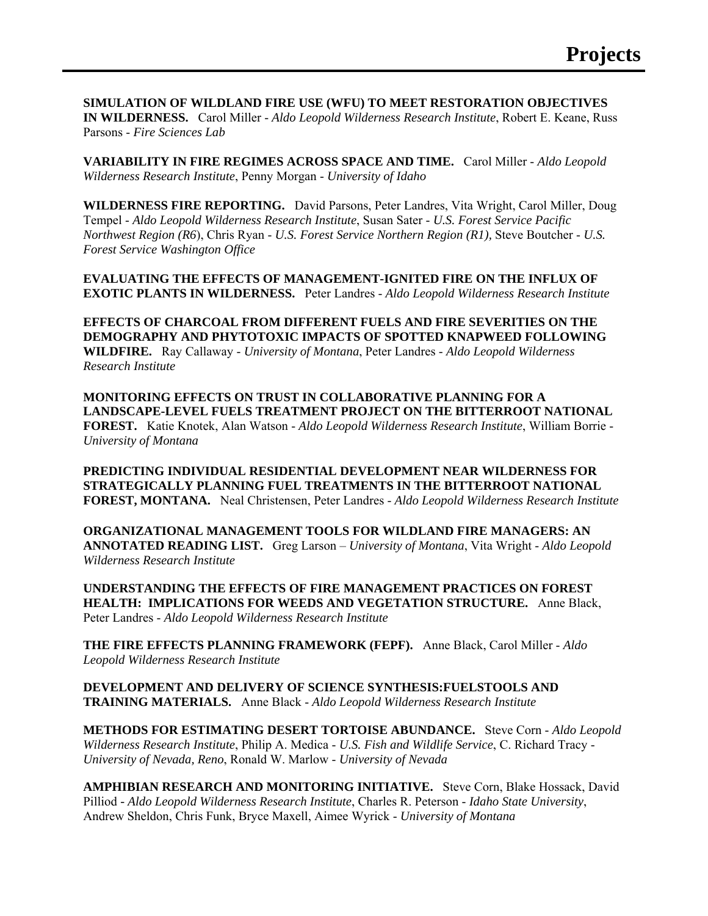**SIMULATION OF WILDLAND FIRE USE (WFU) TO MEET RESTORATION OBJECTIVES IN WILDERNESS.** Carol Miller - *Aldo Leopold Wilderness Research Institute*, Robert E. Keane, Russ Parsons - *Fire Sciences Lab*

**VARIABILITY IN FIRE REGIMES ACROSS SPACE AND TIME.** Carol Miller - *Aldo Leopold Wilderness Research Institute*, Penny Morgan - *University of Idaho*

**WILDERNESS FIRE REPORTING.** David Parsons, Peter Landres, Vita Wright, Carol Miller, Doug Tempel - *Aldo Leopold Wilderness Research Institute*, Susan Sater - *U.S. Forest Service Pacific Northwest Region (R6*), Chris Ryan - *U.S. Forest Service Northern Region (R1),* Steve Boutcher - *U.S. Forest Service Washington Office*

**EVALUATING THE EFFECTS OF MANAGEMENT-IGNITED FIRE ON THE INFLUX OF EXOTIC PLANTS IN WILDERNESS.** Peter Landres - *Aldo Leopold Wilderness Research Institute*

**EFFECTS OF CHARCOAL FROM DIFFERENT FUELS AND FIRE SEVERITIES ON THE DEMOGRAPHY AND PHYTOTOXIC IMPACTS OF SPOTTED KNAPWEED FOLLOWING WILDFIRE.** Ray Callaway - *University of Montana*, Peter Landres - *Aldo Leopold Wilderness Research Institute*

**MONITORING EFFECTS ON TRUST IN COLLABORATIVE PLANNING FOR A LANDSCAPE-LEVEL FUELS TREATMENT PROJECT ON THE BITTERROOT NATIONAL FOREST.** Katie Knotek, Alan Watson - *Aldo Leopold Wilderness Research Institute*, William Borrie - *University of Montana*

**PREDICTING INDIVIDUAL RESIDENTIAL DEVELOPMENT NEAR WILDERNESS FOR STRATEGICALLY PLANNING FUEL TREATMENTS IN THE BITTERROOT NATIONAL FOREST, MONTANA.** Neal Christensen, Peter Landres - *Aldo Leopold Wilderness Research Institute*

**ORGANIZATIONAL MANAGEMENT TOOLS FOR WILDLAND FIRE MANAGERS: AN ANNOTATED READING LIST.** Greg Larson – *University of Montana*, Vita Wright - *Aldo Leopold Wilderness Research Institute*

**UNDERSTANDING THE EFFECTS OF FIRE MANAGEMENT PRACTICES ON FOREST HEALTH: IMPLICATIONS FOR WEEDS AND VEGETATION STRUCTURE.** Anne Black, Peter Landres - *Aldo Leopold Wilderness Research Institute*

**THE FIRE EFFECTS PLANNING FRAMEWORK (FEPF).** Anne Black, Carol Miller - *Aldo Leopold Wilderness Research Institute*

**DEVELOPMENT AND DELIVERY OF SCIENCE SYNTHESIS:FUELSTOOLS AND TRAINING MATERIALS.** Anne Black - *Aldo Leopold Wilderness Research Institute*

**METHODS FOR ESTIMATING DESERT TORTOISE ABUNDANCE.** Steve Corn - *Aldo Leopold Wilderness Research Institute*, Philip A. Medica - *U.S. Fish and Wildlife Service*, C. Richard Tracy - *University of Nevada, Reno*, Ronald W. Marlow - *University of Nevada*

**AMPHIBIAN RESEARCH AND MONITORING INITIATIVE.** Steve Corn, Blake Hossack, David Pilliod *- Aldo Leopold Wilderness Research Institute*, Charles R. Peterson - *Idaho State University*, Andrew Sheldon, Chris Funk, Bryce Maxell, Aimee Wyrick - *University of Montana*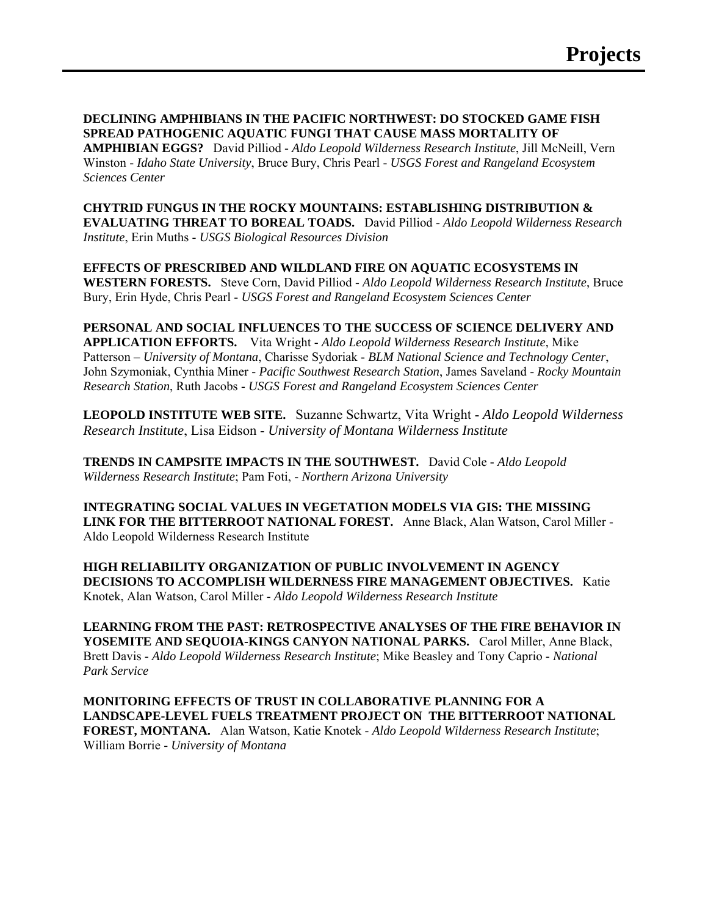**DECLINING AMPHIBIANS IN THE PACIFIC NORTHWEST: DO STOCKED GAME FISH SPREAD PATHOGENIC AQUATIC FUNGI THAT CAUSE MASS MORTALITY OF** 

**AMPHIBIAN EGGS?** David Pilliod - *Aldo Leopold Wilderness Research Institute*, Jill McNeill, Vern Winston - *Idaho State University*, Bruce Bury, Chris Pearl - *USGS Forest and Rangeland Ecosystem Sciences Center* 

**CHYTRID FUNGUS IN THE ROCKY MOUNTAINS: ESTABLISHING DISTRIBUTION & EVALUATING THREAT TO BOREAL TOADS.** David Pilliod - *Aldo Leopold Wilderness Research Institute*, Erin Muths - *USGS Biological Resources Division*

**EFFECTS OF PRESCRIBED AND WILDLAND FIRE ON AQUATIC ECOSYSTEMS IN WESTERN FORESTS.** Steve Corn, David Pilliod - *Aldo Leopold Wilderness Research Institute*, Bruce Bury, Erin Hyde, Chris Pearl - *USGS Forest and Rangeland Ecosystem Sciences Center*

**PERSONAL AND SOCIAL INFLUENCES TO THE SUCCESS OF SCIENCE DELIVERY AND APPLICATION EFFORTS.** Vita Wright - *Aldo Leopold Wilderness Research Institute*, Mike Patterson – *University of Montana*, Charisse Sydoriak - *BLM National Science and Technology Center*, John Szymoniak, Cynthia Miner - *Pacific Southwest Research Station*, James Saveland - *Rocky Mountain Research Station*, Ruth Jacobs - *USGS Forest and Rangeland Ecosystem Sciences Center*

**LEOPOLD INSTITUTE WEB SITE.** Suzanne Schwartz, Vita Wright - *Aldo Leopold Wilderness Research Institute*, Lisa Eidson - *University of Montana Wilderness Institute*

**TRENDS IN CAMPSITE IMPACTS IN THE SOUTHWEST.** David Cole *- Aldo Leopold Wilderness Research Institute*; Pam Foti, - *Northern Arizona University*

**INTEGRATING SOCIAL VALUES IN VEGETATION MODELS VIA GIS: THE MISSING LINK FOR THE BITTERROOT NATIONAL FOREST.** Anne Black, Alan Watson, Carol Miller - Aldo Leopold Wilderness Research Institute

**HIGH RELIABILITY ORGANIZATION OF PUBLIC INVOLVEMENT IN AGENCY DECISIONS TO ACCOMPLISH WILDERNESS FIRE MANAGEMENT OBJECTIVES.** Katie Knotek, Alan Watson, Carol Miller - *Aldo Leopold Wilderness Research Institute*

**LEARNING FROM THE PAST: RETROSPECTIVE ANALYSES OF THE FIRE BEHAVIOR IN YOSEMITE AND SEQUOIA-KINGS CANYON NATIONAL PARKS.** Carol Miller, Anne Black, Brett Davis - *Aldo Leopold Wilderness Research Institute*; Mike Beasley and Tony Caprio - *National Park Service* 

**MONITORING EFFECTS OF TRUST IN COLLABORATIVE PLANNING FOR A LANDSCAPE-LEVEL FUELS TREATMENT PROJECT ON THE BITTERROOT NATIONAL FOREST, MONTANA.** Alan Watson, Katie Knotek - *Aldo Leopold Wilderness Research Institute*; William Borrie - *University of Montana*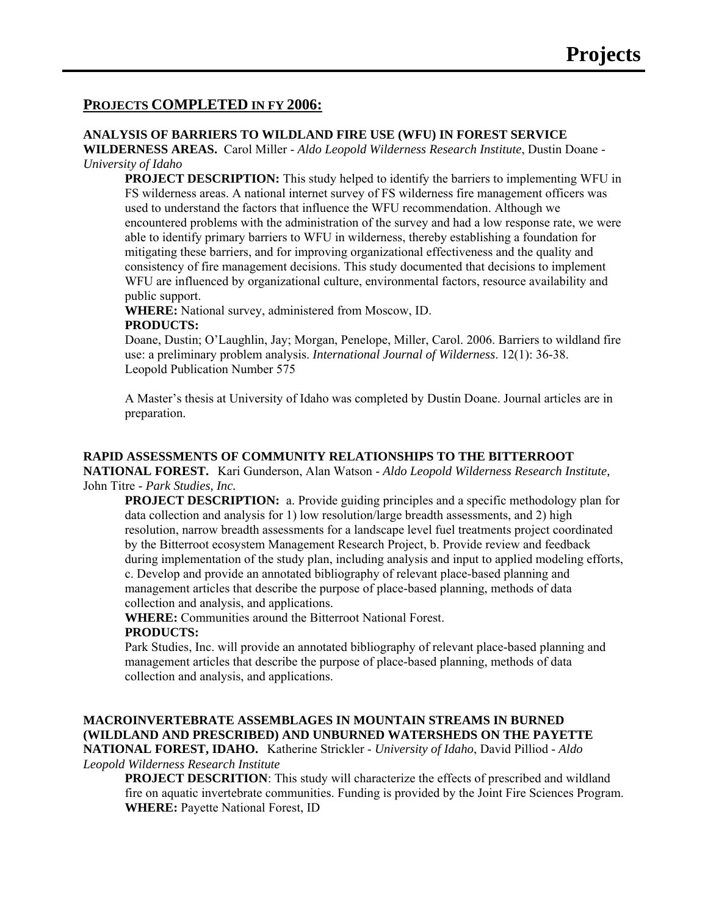# **PROJECTS COMPLETED IN FY 2006:**

#### **ANALYSIS OF BARRIERS TO WILDLAND FIRE USE (WFU) IN FOREST SERVICE**

**WILDERNESS AREAS.** Carol Miller - *Aldo Leopold Wilderness Research Institute*, Dustin Doane - *University of Idaho*

**PROJECT DESCRIPTION:** This study helped to identify the barriers to implementing WFU in FS wilderness areas. A national internet survey of FS wilderness fire management officers was used to understand the factors that influence the WFU recommendation. Although we encountered problems with the administration of the survey and had a low response rate, we were able to identify primary barriers to WFU in wilderness, thereby establishing a foundation for mitigating these barriers, and for improving organizational effectiveness and the quality and consistency of fire management decisions. This study documented that decisions to implement WFU are influenced by organizational culture, environmental factors, resource availability and public support.

**WHERE:** National survey, administered from Moscow, ID. **PRODUCTS:** 

Doane, Dustin; O'Laughlin, Jay; Morgan, Penelope, Miller, Carol. 2006. Barriers to wildland fire use: a preliminary problem analysis. *International Journal of Wilderness*. 12(1): 36-38. Leopold Publication Number 575

A Master's thesis at University of Idaho was completed by Dustin Doane. Journal articles are in preparation.

#### **RAPID ASSESSMENTS OF COMMUNITY RELATIONSHIPS TO THE BITTERROOT**

**NATIONAL FOREST.** Kari Gunderson, Alan Watson - *Aldo Leopold Wilderness Research Institute,* John Titre - *Park Studies, Inc.*

**PROJECT DESCRIPTION:** a. Provide guiding principles and a specific methodology plan for data collection and analysis for 1) low resolution/large breadth assessments, and 2) high resolution, narrow breadth assessments for a landscape level fuel treatments project coordinated by the Bitterroot ecosystem Management Research Project, b. Provide review and feedback during implementation of the study plan, including analysis and input to applied modeling efforts, c. Develop and provide an annotated bibliography of relevant place-based planning and management articles that describe the purpose of place-based planning, methods of data collection and analysis, and applications.

**WHERE:** Communities around the Bitterroot National Forest.

# **PRODUCTS:**

Park Studies, Inc. will provide an annotated bibliography of relevant place-based planning and management articles that describe the purpose of place-based planning, methods of data collection and analysis, and applications.

**MACROINVERTEBRATE ASSEMBLAGES IN MOUNTAIN STREAMS IN BURNED (WILDLAND AND PRESCRIBED) AND UNBURNED WATERSHEDS ON THE PAYETTE NATIONAL FOREST, IDAHO.** Katherine Strickler - *University of Idaho*, David Pilliod - *Aldo Leopold Wilderness Research Institute*

**PROJECT DESCRITION:** This study will characterize the effects of prescribed and wildland fire on aquatic invertebrate communities. Funding is provided by the Joint Fire Sciences Program. **WHERE:** Payette National Forest, ID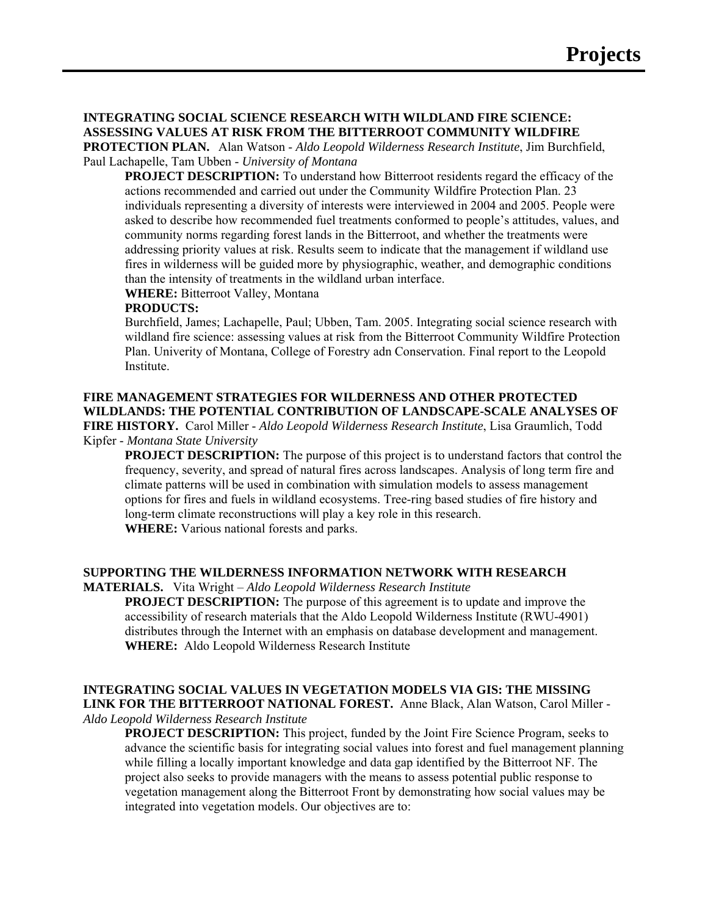#### **INTEGRATING SOCIAL SCIENCE RESEARCH WITH WILDLAND FIRE SCIENCE: ASSESSING VALUES AT RISK FROM THE BITTERROOT COMMUNITY WILDFIRE**

**PROTECTION PLAN.** Alan Watson - *Aldo Leopold Wilderness Research Institute*, Jim Burchfield, Paul Lachapelle, Tam Ubben - *University of Montana*

**PROJECT DESCRIPTION:** To understand how Bitterroot residents regard the efficacy of the actions recommended and carried out under the Community Wildfire Protection Plan. 23 individuals representing a diversity of interests were interviewed in 2004 and 2005. People were asked to describe how recommended fuel treatments conformed to people's attitudes, values, and community norms regarding forest lands in the Bitterroot, and whether the treatments were addressing priority values at risk. Results seem to indicate that the management if wildland use fires in wilderness will be guided more by physiographic, weather, and demographic conditions than the intensity of treatments in the wildland urban interface.

**WHERE:** Bitterroot Valley, Montana

## **PRODUCTS:**

Burchfield, James; Lachapelle, Paul; Ubben, Tam. 2005. Integrating social science research with wildland fire science: assessing values at risk from the Bitterroot Community Wildfire Protection Plan. Univerity of Montana, College of Forestry adn Conservation. Final report to the Leopold Institute.

# **FIRE MANAGEMENT STRATEGIES FOR WILDERNESS AND OTHER PROTECTED WILDLANDS: THE POTENTIAL CONTRIBUTION OF LANDSCAPE-SCALE ANALYSES OF**

**FIRE HISTORY.** Carol Miller - *Aldo Leopold Wilderness Research Institute*, Lisa Graumlich, Todd Kipfer - *Montana State University*

**PROJECT DESCRIPTION:** The purpose of this project is to understand factors that control the frequency, severity, and spread of natural fires across landscapes. Analysis of long term fire and climate patterns will be used in combination with simulation models to assess management options for fires and fuels in wildland ecosystems. Tree-ring based studies of fire history and long-term climate reconstructions will play a key role in this research. **WHERE:** Various national forests and parks.

#### **SUPPORTING THE WILDERNESS INFORMATION NETWORK WITH RESEARCH**

**MATERIALS.** Vita Wright – *Aldo Leopold Wilderness Research Institute*

**PROJECT DESCRIPTION:** The purpose of this agreement is to update and improve the accessibility of research materials that the Aldo Leopold Wilderness Institute (RWU-4901) distributes through the Internet with an emphasis on database development and management. **WHERE:** Aldo Leopold Wilderness Research Institute

# **INTEGRATING SOCIAL VALUES IN VEGETATION MODELS VIA GIS: THE MISSING**

**LINK FOR THE BITTERROOT NATIONAL FOREST.** Anne Black, Alan Watson, Carol Miller - *Aldo Leopold Wilderness Research Institute*

**PROJECT DESCRIPTION:** This project, funded by the Joint Fire Science Program, seeks to advance the scientific basis for integrating social values into forest and fuel management planning while filling a locally important knowledge and data gap identified by the Bitterroot NF. The project also seeks to provide managers with the means to assess potential public response to vegetation management along the Bitterroot Front by demonstrating how social values may be integrated into vegetation models. Our objectives are to: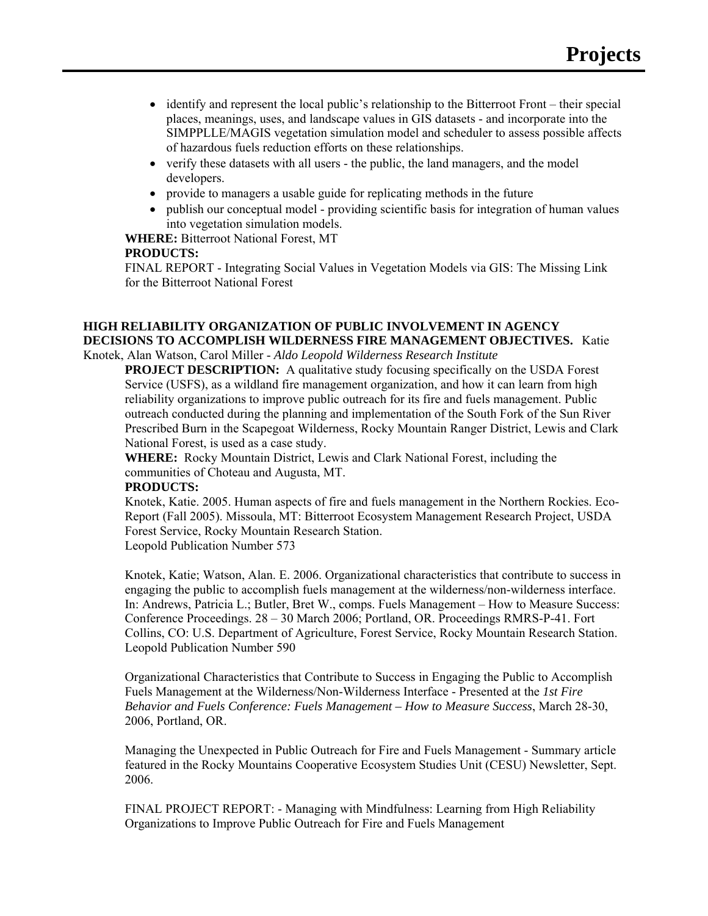- identify and represent the local public's relationship to the Bitterroot Front their special places, meanings, uses, and landscape values in GIS datasets - and incorporate into the SIMPPLLE/MAGIS vegetation simulation model and scheduler to assess possible affects of hazardous fuels reduction efforts on these relationships.
- verify these datasets with all users the public, the land managers, and the model developers.
- provide to managers a usable guide for replicating methods in the future
- publish our conceptual model providing scientific basis for integration of human values into vegetation simulation models.

**WHERE:** Bitterroot National Forest, MT

#### **PRODUCTS:**

FINAL REPORT - Integrating Social Values in Vegetation Models via GIS: The Missing Link for the Bitterroot National Forest

#### **HIGH RELIABILITY ORGANIZATION OF PUBLIC INVOLVEMENT IN AGENCY DECISIONS TO ACCOMPLISH WILDERNESS FIRE MANAGEMENT OBJECTIVES.** Katie Knotek, Alan Watson, Carol Miller - *Aldo Leopold Wilderness Research Institute*

**PROJECT DESCRIPTION:** A qualitative study focusing specifically on the USDA Forest Service (USFS), as a wildland fire management organization, and how it can learn from high reliability organizations to improve public outreach for its fire and fuels management. Public outreach conducted during the planning and implementation of the South Fork of the Sun River Prescribed Burn in the Scapegoat Wilderness, Rocky Mountain Ranger District, Lewis and Clark National Forest, is used as a case study.

**WHERE:** Rocky Mountain District, Lewis and Clark National Forest, including the communities of Choteau and Augusta, MT.

#### **PRODUCTS:**

Knotek, Katie. 2005. Human aspects of fire and fuels management in the Northern Rockies. Eco-Report (Fall 2005). Missoula, MT: Bitterroot Ecosystem Management Research Project, USDA Forest Service, Rocky Mountain Research Station. Leopold Publication Number 573

Knotek, Katie; Watson, Alan. E. 2006. Organizational characteristics that contribute to success in engaging the public to accomplish fuels management at the wilderness/non-wilderness interface. In: Andrews, Patricia L.; Butler, Bret W., comps. Fuels Management – How to Measure Success: Conference Proceedings. 28 – 30 March 2006; Portland, OR. Proceedings RMRS-P-41. Fort Collins, CO: U.S. Department of Agriculture, Forest Service, Rocky Mountain Research Station. Leopold Publication Number 590

Organizational Characteristics that Contribute to Success in Engaging the Public to Accomplish Fuels Management at the Wilderness/Non-Wilderness Interface - Presented at the *1st Fire Behavior and Fuels Conference: Fuels Management – How to Measure Success*, March 28-30, 2006, Portland, OR.

Managing the Unexpected in Public Outreach for Fire and Fuels Management - Summary article featured in the Rocky Mountains Cooperative Ecosystem Studies Unit (CESU) Newsletter, Sept. 2006.

FINAL PROJECT REPORT: - Managing with Mindfulness: Learning from High Reliability Organizations to Improve Public Outreach for Fire and Fuels Management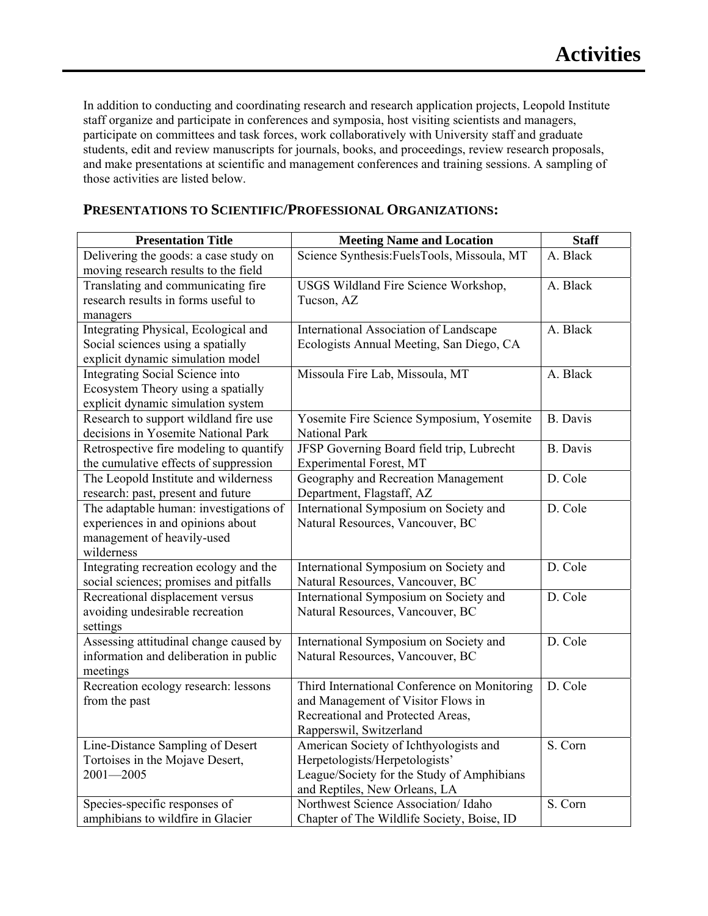In addition to conducting and coordinating research and research application projects, Leopold Institute staff organize and participate in conferences and symposia, host visiting scientists and managers, participate on committees and task forces, work collaboratively with University staff and graduate students, edit and review manuscripts for journals, books, and proceedings, review research proposals, and make presentations at scientific and management conferences and training sessions. A sampling of those activities are listed below.

| <b>Presentation Title</b>                                           | <b>Meeting Name and Location</b>                                  | <b>Staff</b>          |
|---------------------------------------------------------------------|-------------------------------------------------------------------|-----------------------|
| Delivering the goods: a case study on                               | Science Synthesis: FuelsTools, Missoula, MT                       | A. Black              |
| moving research results to the field                                |                                                                   |                       |
| Translating and communicating fire                                  | USGS Wildland Fire Science Workshop,                              | A. Black              |
| research results in forms useful to                                 | Tucson, AZ                                                        |                       |
| managers                                                            |                                                                   |                       |
| Integrating Physical, Ecological and                                | International Association of Landscape                            | A. Black              |
| Social sciences using a spatially                                   | Ecologists Annual Meeting, San Diego, CA                          |                       |
| explicit dynamic simulation model                                   |                                                                   |                       |
| Integrating Social Science into                                     | Missoula Fire Lab, Missoula, MT                                   | A. Black              |
| Ecosystem Theory using a spatially                                  |                                                                   |                       |
| explicit dynamic simulation system                                  |                                                                   |                       |
| Research to support wildland fire use                               | Yosemite Fire Science Symposium, Yosemite                         | <b>B.</b> Davis       |
| decisions in Yosemite National Park                                 | National Park                                                     |                       |
| Retrospective fire modeling to quantify                             | JFSP Governing Board field trip, Lubrecht                         | <b>B.</b> Davis       |
| the cumulative effects of suppression                               | Experimental Forest, MT                                           |                       |
| The Leopold Institute and wilderness                                | Geography and Recreation Management                               | D. Cole               |
| research: past, present and future                                  | Department, Flagstaff, AZ                                         |                       |
| The adaptable human: investigations of                              | International Symposium on Society and                            | D. Cole               |
| experiences in and opinions about                                   | Natural Resources, Vancouver, BC                                  |                       |
| management of heavily-used                                          |                                                                   |                       |
| wilderness                                                          |                                                                   |                       |
| Integrating recreation ecology and the                              | International Symposium on Society and                            | D. Cole               |
| social sciences; promises and pitfalls                              | Natural Resources, Vancouver, BC                                  |                       |
| Recreational displacement versus                                    | International Symposium on Society and                            | D. Cole               |
| avoiding undesirable recreation                                     | Natural Resources, Vancouver, BC                                  |                       |
| settings                                                            |                                                                   |                       |
| Assessing attitudinal change caused by                              | International Symposium on Society and                            | D. Cole               |
| information and deliberation in public                              | Natural Resources, Vancouver, BC                                  |                       |
| meetings                                                            |                                                                   |                       |
| Recreation ecology research: lessons                                | Third International Conference on Monitoring                      | D. Cole               |
| from the past                                                       | and Management of Visitor Flows in                                |                       |
|                                                                     | Recreational and Protected Areas,                                 |                       |
|                                                                     | Rapperswil, Switzerland<br>American Society of Ichthyologists and | $\overline{S}$ . Corn |
| Line-Distance Sampling of Desert<br>Tortoises in the Mojave Desert, | Herpetologists/Herpetologists'                                    |                       |
| $2001 - 2005$                                                       | League/Society for the Study of Amphibians                        |                       |
|                                                                     | and Reptiles, New Orleans, LA                                     |                       |
| Species-specific responses of                                       | Northwest Science Association/ Idaho                              | S. Corn               |
| amphibians to wildfire in Glacier                                   | Chapter of The Wildlife Society, Boise, ID                        |                       |

# **PRESENTATIONS TO SCIENTIFIC/PROFESSIONAL ORGANIZATIONS:**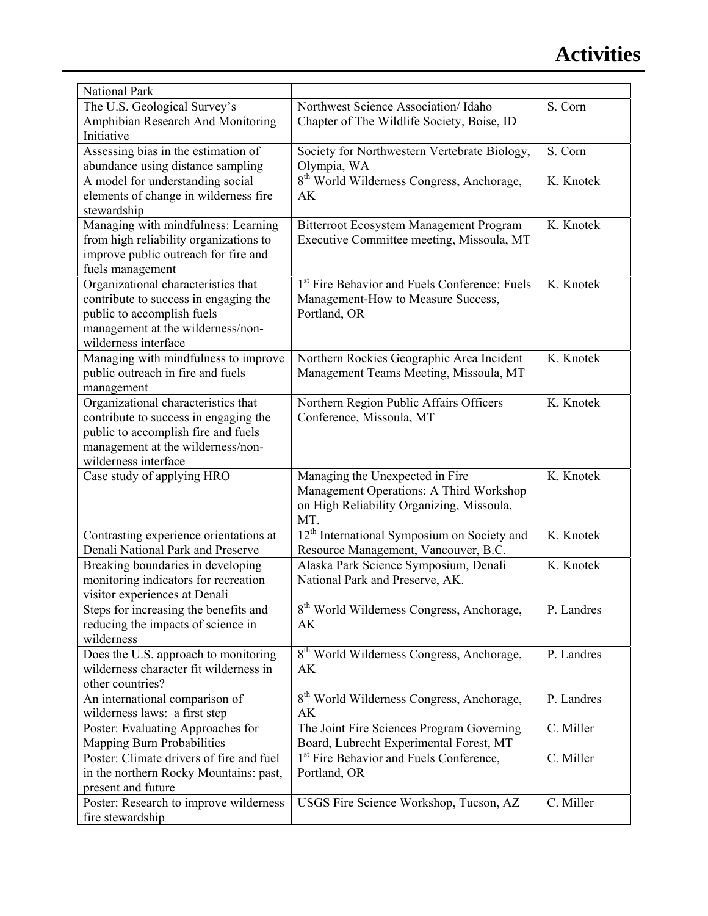| National Park                            |                                                           |                         |
|------------------------------------------|-----------------------------------------------------------|-------------------------|
| The U.S. Geological Survey's             | Northwest Science Association/ Idaho                      | S. Corn                 |
| Amphibian Research And Monitoring        | Chapter of The Wildlife Society, Boise, ID                |                         |
| Initiative                               |                                                           |                         |
| Assessing bias in the estimation of      | Society for Northwestern Vertebrate Biology,              | S. Corn                 |
| abundance using distance sampling        | Olympia, WA                                               |                         |
| A model for understanding social         | 8 <sup>th</sup> World Wilderness Congress, Anchorage,     | K. Knotek               |
| elements of change in wilderness fire    | AK                                                        |                         |
| stewardship                              |                                                           |                         |
| Managing with mindfulness: Learning      | Bitterroot Ecosystem Management Program                   | K. Knotek               |
| from high reliability organizations to   | Executive Committee meeting, Missoula, MT                 |                         |
| improve public outreach for fire and     |                                                           |                         |
| fuels management                         |                                                           |                         |
| Organizational characteristics that      | 1 <sup>st</sup> Fire Behavior and Fuels Conference: Fuels | K. Knotek               |
| contribute to success in engaging the    | Management-How to Measure Success,                        |                         |
| public to accomplish fuels               | Portland, OR                                              |                         |
| management at the wilderness/non-        |                                                           |                         |
| wilderness interface                     |                                                           |                         |
| Managing with mindfulness to improve     | Northern Rockies Geographic Area Incident                 | K. Knotek               |
| public outreach in fire and fuels        | Management Teams Meeting, Missoula, MT                    |                         |
| management                               |                                                           |                         |
| Organizational characteristics that      | Northern Region Public Affairs Officers                   | K. Knotek               |
| contribute to success in engaging the    | Conference, Missoula, MT                                  |                         |
| public to accomplish fire and fuels      |                                                           |                         |
| management at the wilderness/non-        |                                                           |                         |
| wilderness interface                     |                                                           |                         |
| Case study of applying HRO               | Managing the Unexpected in Fire                           | K. Knotek               |
|                                          | Management Operations: A Third Workshop                   |                         |
|                                          | on High Reliability Organizing, Missoula,                 |                         |
|                                          | MT.                                                       |                         |
| Contrasting experience orientations at   | 12 <sup>th</sup> International Symposium on Society and   | K. Knotek               |
| Denali National Park and Preserve        | Resource Management, Vancouver, B.C.                      |                         |
| Breaking boundaries in developing        | Alaska Park Science Symposium, Denali                     | K. Knotek               |
| monitoring indicators for recreation     | National Park and Preserve, AK.                           |                         |
| visitor experiences at Denali            |                                                           |                         |
| Steps for increasing the benefits and    | 8 <sup>th</sup> World Wilderness Congress, Anchorage,     | P. Landres              |
| reducing the impacts of science in       | AK                                                        |                         |
| wilderness                               |                                                           |                         |
| Does the U.S. approach to monitoring     | 8 <sup>th</sup> World Wilderness Congress, Anchorage,     | P. Landres              |
| wilderness character fit wilderness in   | AK                                                        |                         |
| other countries?                         |                                                           |                         |
| An international comparison of           | 8 <sup>th</sup> World Wilderness Congress, Anchorage,     | P. Landres              |
| wilderness laws: a first step            | AK                                                        |                         |
| Poster: Evaluating Approaches for        | The Joint Fire Sciences Program Governing                 | C. Miller               |
| <b>Mapping Burn Probabilities</b>        | Board, Lubrecht Experimental Forest, MT                   |                         |
| Poster: Climate drivers of fire and fuel | 1 <sup>st</sup> Fire Behavior and Fuels Conference,       | $\overline{C}$ . Miller |
| in the northern Rocky Mountains: past,   | Portland, OR                                              |                         |
| present and future                       |                                                           |                         |
| Poster: Research to improve wilderness   | USGS Fire Science Workshop, Tucson, AZ                    | C. Miller               |
| fire stewardship                         |                                                           |                         |
|                                          |                                                           |                         |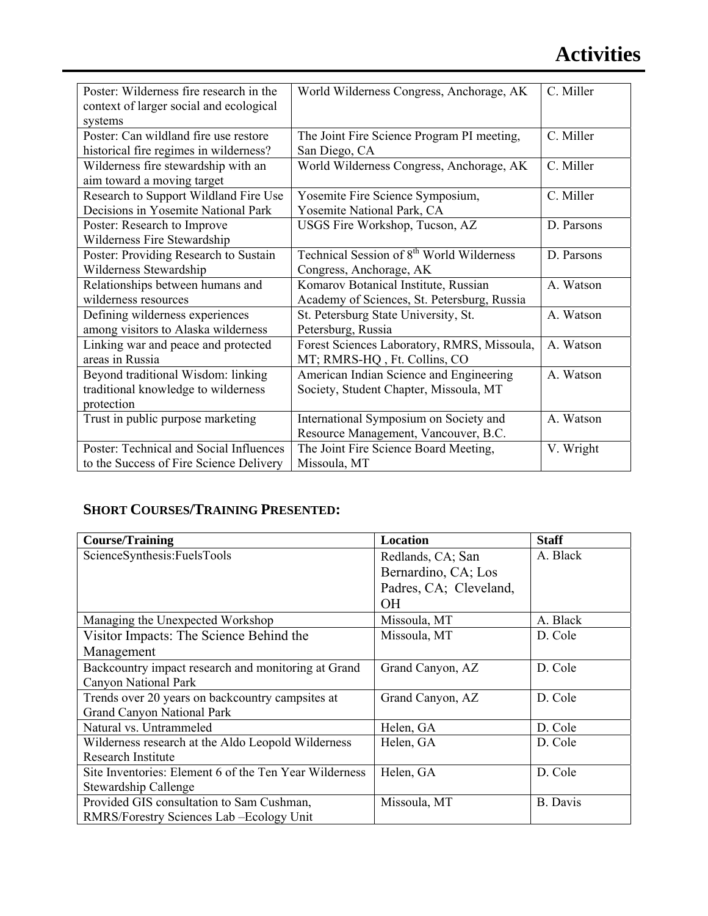| Poster: Wilderness fire research in the<br>context of larger social and ecological | World Wilderness Congress, Anchorage, AK              | C. Miller  |
|------------------------------------------------------------------------------------|-------------------------------------------------------|------------|
| systems                                                                            |                                                       |            |
| Poster: Can wildland fire use restore                                              | The Joint Fire Science Program PI meeting,            | C. Miller  |
| historical fire regimes in wilderness?                                             | San Diego, CA                                         |            |
| Wilderness fire stewardship with an                                                | World Wilderness Congress, Anchorage, AK              | C. Miller  |
| aim toward a moving target                                                         |                                                       |            |
| Research to Support Wildland Fire Use                                              | Yosemite Fire Science Symposium,                      | C. Miller  |
| Decisions in Yosemite National Park                                                | Yosemite National Park, CA                            |            |
| Poster: Research to Improve                                                        | USGS Fire Workshop, Tucson, AZ                        | D. Parsons |
| Wilderness Fire Stewardship                                                        |                                                       |            |
| Poster: Providing Research to Sustain                                              | Technical Session of 8 <sup>th</sup> World Wilderness | D. Parsons |
| Wilderness Stewardship                                                             | Congress, Anchorage, AK                               |            |
| Relationships between humans and                                                   | Komarov Botanical Institute, Russian                  | A. Watson  |
| wilderness resources                                                               | Academy of Sciences, St. Petersburg, Russia           |            |
| Defining wilderness experiences                                                    | St. Petersburg State University, St.                  | A. Watson  |
| among visitors to Alaska wilderness                                                | Petersburg, Russia                                    |            |
| Linking war and peace and protected                                                | Forest Sciences Laboratory, RMRS, Missoula,           | A. Watson  |
| areas in Russia                                                                    | MT; RMRS-HQ, Ft. Collins, CO                          |            |
| Beyond traditional Wisdom: linking                                                 | American Indian Science and Engineering               | A. Watson  |
| traditional knowledge to wilderness                                                | Society, Student Chapter, Missoula, MT                |            |
| protection                                                                         |                                                       |            |
| Trust in public purpose marketing                                                  | International Symposium on Society and                | A. Watson  |
|                                                                                    | Resource Management, Vancouver, B.C.                  |            |
| Poster: Technical and Social Influences                                            | The Joint Fire Science Board Meeting,                 | V. Wright  |
| to the Success of Fire Science Delivery                                            | Missoula, MT                                          |            |

# **SHORT COURSES/TRAINING PRESENTED:**

| <b>Course/Training</b>                                 | <b>Location</b>        | <b>Staff</b>    |
|--------------------------------------------------------|------------------------|-----------------|
| ScienceSynthesis:FuelsTools                            | Redlands, CA; San      | A. Black        |
|                                                        | Bernardino, CA; Los    |                 |
|                                                        | Padres, CA; Cleveland, |                 |
|                                                        | OН                     |                 |
| Managing the Unexpected Workshop                       | Missoula, MT           | A. Black        |
| Visitor Impacts: The Science Behind the                | Missoula, MT           | D. Cole         |
| Management                                             |                        |                 |
| Backcountry impact research and monitoring at Grand    | Grand Canyon, AZ       | D. Cole         |
| <b>Canyon National Park</b>                            |                        |                 |
| Trends over 20 years on backcountry campsites at       | Grand Canyon, AZ       | D. Cole         |
| <b>Grand Canyon National Park</b>                      |                        |                 |
| Natural vs. Untrammeled                                | Helen, GA              | D. Cole         |
| Wilderness research at the Aldo Leopold Wilderness     | Helen, GA              | D. Cole         |
| <b>Research Institute</b>                              |                        |                 |
| Site Inventories: Element 6 of the Ten Year Wilderness | Helen, GA              | D. Cole         |
| <b>Stewardship Callenge</b>                            |                        |                 |
| Provided GIS consultation to Sam Cushman,              | Missoula, MT           | <b>B.</b> Davis |
| RMRS/Forestry Sciences Lab - Ecology Unit              |                        |                 |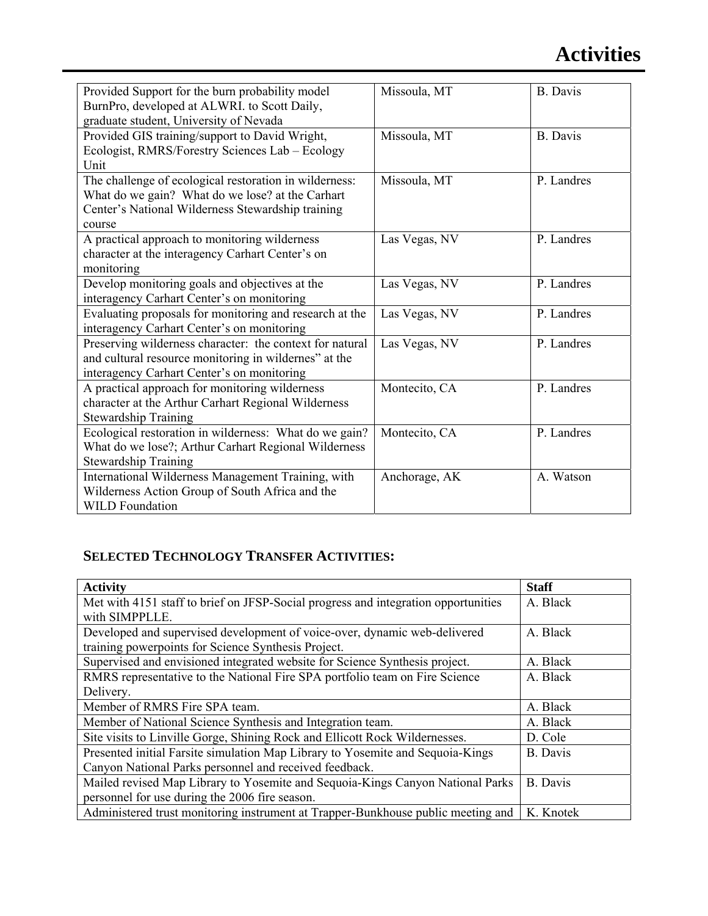# **Activities**

| Provided Support for the burn probability model<br>BurnPro, developed at ALWRI. to Scott Daily,<br>graduate student, University of Nevada                                 | Missoula, MT  | <b>B.</b> Davis |
|---------------------------------------------------------------------------------------------------------------------------------------------------------------------------|---------------|-----------------|
| Provided GIS training/support to David Wright,<br>Ecologist, RMRS/Forestry Sciences Lab - Ecology<br>Unit                                                                 | Missoula, MT  | <b>B.</b> Davis |
| The challenge of ecological restoration in wilderness:<br>What do we gain? What do we lose? at the Carhart<br>Center's National Wilderness Stewardship training<br>course | Missoula, MT  | P. Landres      |
| A practical approach to monitoring wilderness<br>character at the interagency Carhart Center's on<br>monitoring                                                           | Las Vegas, NV | P. Landres      |
| Develop monitoring goals and objectives at the<br>interagency Carhart Center's on monitoring                                                                              | Las Vegas, NV | P. Landres      |
| Evaluating proposals for monitoring and research at the<br>interagency Carhart Center's on monitoring                                                                     | Las Vegas, NV | P. Landres      |
| Preserving wilderness character: the context for natural<br>and cultural resource monitoring in wildernes" at the<br>interagency Carhart Center's on monitoring           | Las Vegas, NV | P. Landres      |
| A practical approach for monitoring wilderness<br>character at the Arthur Carhart Regional Wilderness<br><b>Stewardship Training</b>                                      | Montecito, CA | P. Landres      |
| Ecological restoration in wilderness: What do we gain?<br>What do we lose?; Arthur Carhart Regional Wilderness<br><b>Stewardship Training</b>                             | Montecito, CA | P. Landres      |
| International Wilderness Management Training, with<br>Wilderness Action Group of South Africa and the<br><b>WILD</b> Foundation                                           | Anchorage, AK | A. Watson       |

# **SELECTED TECHNOLOGY TRANSFER ACTIVITIES:**

| <b>Activity</b>                                                                    | <b>Staff</b>    |
|------------------------------------------------------------------------------------|-----------------|
| Met with 4151 staff to brief on JFSP-Social progress and integration opportunities | A. Black        |
| with SIMPPLLE.                                                                     |                 |
| Developed and supervised development of voice-over, dynamic web-delivered          | A. Black        |
| training powerpoints for Science Synthesis Project.                                |                 |
| Supervised and envisioned integrated website for Science Synthesis project.        | A. Black        |
| RMRS representative to the National Fire SPA portfolio team on Fire Science        | A. Black        |
| Delivery.                                                                          |                 |
| Member of RMRS Fire SPA team.                                                      | A. Black        |
| Member of National Science Synthesis and Integration team.                         | A. Black        |
| Site visits to Linville Gorge, Shining Rock and Ellicott Rock Wildernesses.        | D. Cole         |
| Presented initial Farsite simulation Map Library to Yosemite and Sequoia-Kings     | <b>B.</b> Davis |
| Canyon National Parks personnel and received feedback.                             |                 |
| Mailed revised Map Library to Yosemite and Sequoia-Kings Canyon National Parks     | <b>B.</b> Davis |
| personnel for use during the 2006 fire season.                                     |                 |
| Administered trust monitoring instrument at Trapper-Bunkhouse public meeting and   | K. Knotek       |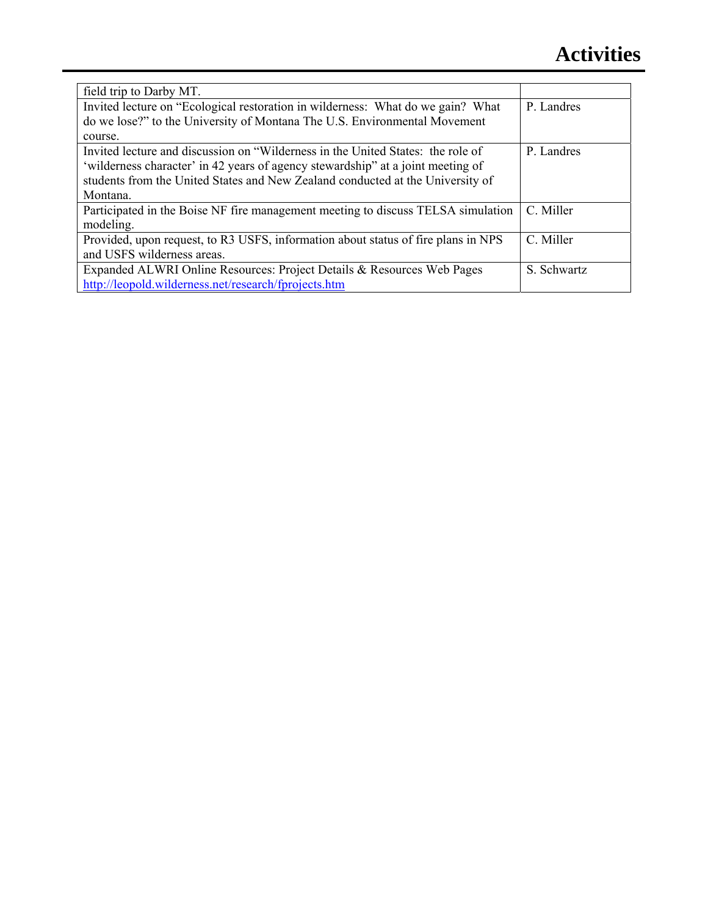| field trip to Darby MT.                                                           |             |
|-----------------------------------------------------------------------------------|-------------|
| Invited lecture on "Ecological restoration in wilderness: What do we gain? What   | P. Landres  |
| do we lose?" to the University of Montana The U.S. Environmental Movement         |             |
| course.                                                                           |             |
| Invited lecture and discussion on "Wilderness in the United States: the role of   | P. Landres  |
| 'wilderness character' in 42 years of agency stewardship" at a joint meeting of   |             |
| students from the United States and New Zealand conducted at the University of    |             |
| Montana.                                                                          |             |
| Participated in the Boise NF fire management meeting to discuss TELSA simulation  | C. Miller   |
| modeling.                                                                         |             |
| Provided, upon request, to R3 USFS, information about status of fire plans in NPS | C. Miller   |
| and USFS wilderness areas.                                                        |             |
| Expanded ALWRI Online Resources: Project Details & Resources Web Pages            | S. Schwartz |
| http://leopold.wilderness.net/research/fprojects.htm                              |             |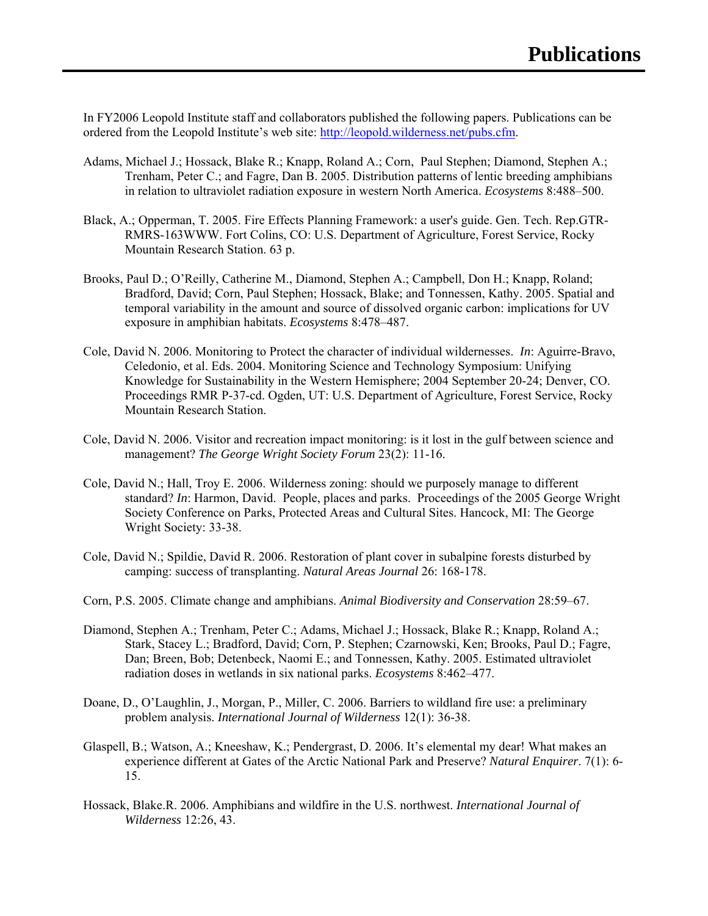In FY2006 Leopold Institute staff and collaborators published the following papers. Publications can be ordered from the Leopold Institute's web site: http://leopold.wilderness.net/pubs.cfm.

- Adams, Michael J.; Hossack, Blake R.; Knapp, Roland A.; Corn, Paul Stephen; Diamond, Stephen A.; Trenham, Peter C.; and Fagre, Dan B. 2005. Distribution patterns of lentic breeding amphibians in relation to ultraviolet radiation exposure in western North America. *Ecosystems* 8:488–500.
- Black, A.; Opperman, T. 2005. Fire Effects Planning Framework: a user's guide. Gen. Tech. Rep.GTR-RMRS-163WWW. Fort Colins, CO: U.S. Department of Agriculture, Forest Service, Rocky Mountain Research Station. 63 p.
- Brooks, Paul D.; O'Reilly, Catherine M., Diamond, Stephen A.; Campbell, Don H.; Knapp, Roland; Bradford, David; Corn, Paul Stephen; Hossack, Blake; and Tonnessen, Kathy. 2005. Spatial and temporal variability in the amount and source of dissolved organic carbon: implications for UV exposure in amphibian habitats. *Ecosystems* 8:478–487.
- Cole, David N. 2006. Monitoring to Protect the character of individual wildernesses. *In*: Aguirre-Bravo, Celedonio, et al. Eds. 2004. Monitoring Science and Technology Symposium: Unifying Knowledge for Sustainability in the Western Hemisphere; 2004 September 20-24; Denver, CO. Proceedings RMR P-37-cd. Ogden, UT: U.S. Department of Agriculture, Forest Service, Rocky Mountain Research Station.
- Cole, David N. 2006. Visitor and recreation impact monitoring: is it lost in the gulf between science and management? *The George Wright Society Forum* 23(2): 11-16.
- Cole, David N.; Hall, Troy E. 2006. Wilderness zoning: should we purposely manage to different standard? *In*: Harmon, David. People, places and parks. Proceedings of the 2005 George Wright Society Conference on Parks, Protected Areas and Cultural Sites. Hancock, MI: The George Wright Society: 33-38.
- Cole, David N.; Spildie, David R. 2006. Restoration of plant cover in subalpine forests disturbed by camping: success of transplanting. *Natural Areas Journal* 26: 168-178.
- Corn, P.S. 2005. Climate change and amphibians. *Animal Biodiversity and Conservation* 28:59–67.
- Diamond, Stephen A.; Trenham, Peter C.; Adams, Michael J.; Hossack, Blake R.; Knapp, Roland A.; Stark, Stacey L.; Bradford, David; Corn, P. Stephen; Czarnowski, Ken; Brooks, Paul D.; Fagre, Dan; Breen, Bob; Detenbeck, Naomi E.; and Tonnessen, Kathy. 2005. Estimated ultraviolet radiation doses in wetlands in six national parks. *Ecosystems* 8:462–477.
- Doane, D., O'Laughlin, J., Morgan, P., Miller, C. 2006. Barriers to wildland fire use: a preliminary problem analysis. *International Journal of Wilderness* 12(1): 36-38.
- Glaspell, B.; Watson, A.; Kneeshaw, K.; Pendergrast, D. 2006. It's elemental my dear! What makes an experience different at Gates of the Arctic National Park and Preserve? *Natural Enquirer*. 7(1): 6- 15.
- Hossack, Blake.R. 2006. Amphibians and wildfire in the U.S. northwest. *International Journal of Wilderness* 12:26, 43.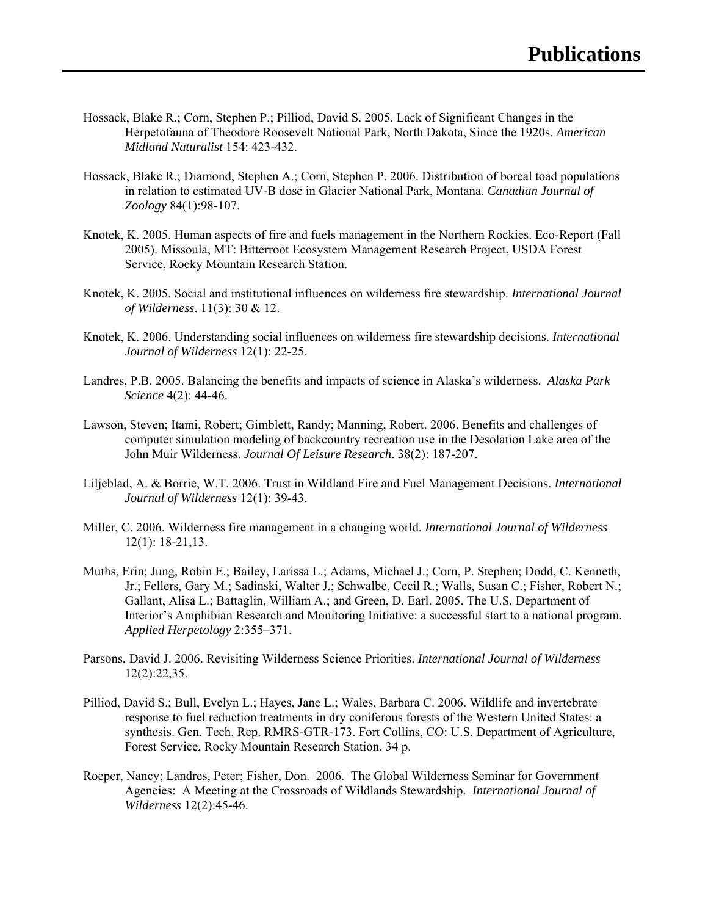- Hossack, Blake R.; Corn, Stephen P.; Pilliod, David S. 2005. Lack of Significant Changes in the Herpetofauna of Theodore Roosevelt National Park, North Dakota, Since the 1920s. *American Midland Naturalist* 154: 423-432.
- Hossack, Blake R.; Diamond, Stephen A.; Corn, Stephen P. 2006. Distribution of boreal toad populations in relation to estimated UV-B dose in Glacier National Park, Montana. *Canadian Journal of Zoology* 84(1):98-107.
- Knotek, K. 2005. Human aspects of fire and fuels management in the Northern Rockies. Eco-Report (Fall 2005). Missoula, MT: Bitterroot Ecosystem Management Research Project, USDA Forest Service, Rocky Mountain Research Station.
- Knotek, K. 2005. Social and institutional influences on wilderness fire stewardship. *International Journal of Wilderness*. 11(3): 30 & 12.
- Knotek, K. 2006. Understanding social influences on wilderness fire stewardship decisions. *International Journal of Wilderness* 12(1): 22-25.
- Landres, P.B. 2005. Balancing the benefits and impacts of science in Alaska's wilderness. *Alaska Park Science* 4(2): 44-46.
- Lawson, Steven; Itami, Robert; Gimblett, Randy; Manning, Robert. 2006. Benefits and challenges of computer simulation modeling of backcountry recreation use in the Desolation Lake area of the John Muir Wilderness. *Journal Of Leisure Research*. 38(2): 187-207.
- Liljeblad, A. & Borrie, W.T. 2006. Trust in Wildland Fire and Fuel Management Decisions. *International Journal of Wilderness* 12(1): 39-43.
- Miller, C. 2006. Wilderness fire management in a changing world. *International Journal of Wilderness* 12(1): 18-21,13.
- Muths, Erin; Jung, Robin E.; Bailey, Larissa L.; Adams, Michael J.; Corn, P. Stephen; Dodd, C. Kenneth, Jr.; Fellers, Gary M.; Sadinski, Walter J.; Schwalbe, Cecil R.; Walls, Susan C.; Fisher, Robert N.; Gallant, Alisa L.; Battaglin, William A.; and Green, D. Earl. 2005. The U.S. Department of Interior's Amphibian Research and Monitoring Initiative: a successful start to a national program. *Applied Herpetology* 2:355–371.
- Parsons, David J. 2006. Revisiting Wilderness Science Priorities. *International Journal of Wilderness* 12(2):22,35.
- Pilliod, David S.; Bull, Evelyn L.; Hayes, Jane L.; Wales, Barbara C. 2006. Wildlife and invertebrate response to fuel reduction treatments in dry coniferous forests of the Western United States: a synthesis. Gen. Tech. Rep. RMRS-GTR-173. Fort Collins, CO: U.S. Department of Agriculture, Forest Service, Rocky Mountain Research Station. 34 p.
- Roeper, Nancy; Landres, Peter; Fisher, Don. 2006. The Global Wilderness Seminar for Government Agencies: A Meeting at the Crossroads of Wildlands Stewardship. *International Journal of Wilderness* 12(2):45-46.